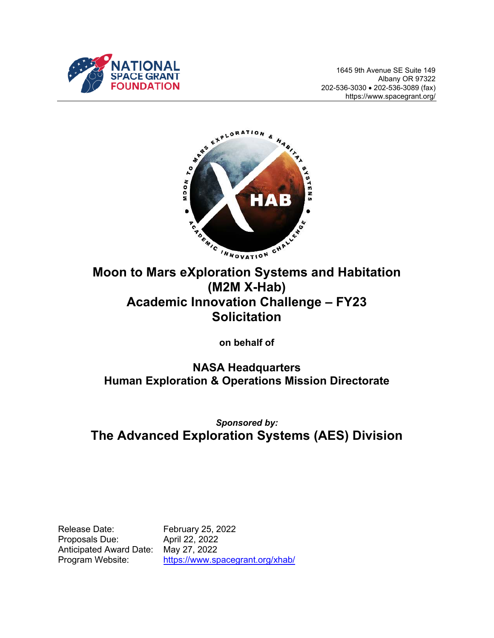

1645 9th Avenue SE Suite 149 Albany OR 97322 202-536-3030 202-536-3089 (fax) https://www.spacegrant.org/



# **(M2M X-Hab) Academic Innovation Challenge – FY23 Solicitation**

**on behalf of** 

**NASA Headquarters Human Exploration & Operations Mission Directorate** 

*Sponsored by:*  **The Advanced Exploration Systems (AES) Division** 

Release Date: February 25, 2022 Proposals Due: April 22, 2022 Anticipated Award Date: May 27, 2022

Program Website: https://www.spacegrant.org/xhab/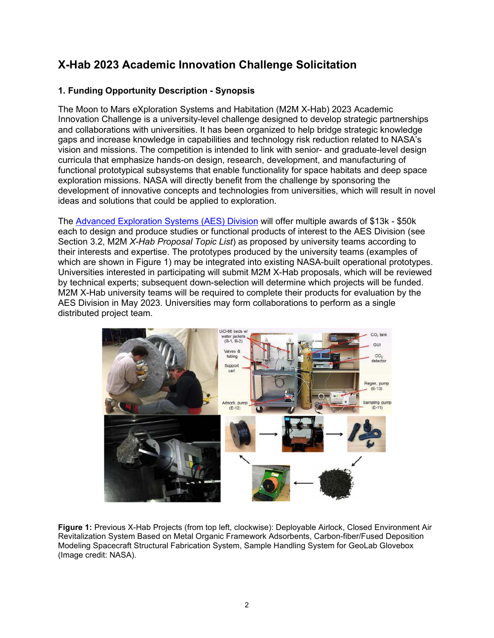### **X-Hab 2023 Academic Innovation Challenge Solicitation**

#### **1. Funding Opportunity Description - Synopsis**

The Moon to Mars eXploration Systems and Habitation (M2M X-Hab) 2023 Academic Innovation Challenge is a university-level challenge designed to develop strategic partnerships and collaborations with universities. It has been organized to help bridge strategic knowledge gaps and increase knowledge in capabilities and technology risk reduction related to NASA's vision and missions. The competition is intended to link with senior- and graduate-level design curricula that emphasize hands-on design, research, development, and manufacturing of functional prototypical subsystems that enable functionality for space habitats and deep space exploration missions. NASA will directly benefit from the challenge by sponsoring the development of innovative concepts and technologies from universities, which will result in novel ideas and solutions that could be applied to exploration.

The Advanced Exploration Systems (AES) Division will offer multiple awards of \$13k - \$50k each to design and produce studies or functional products of interest to the AES Division (see Section 3.2, M2M *X-Hab Proposal Topic List*) as proposed by university teams according to their interests and expertise. The prototypes produced by the university teams (examples of which are shown in Figure 1) may be integrated into existing NASA-built operational prototypes. Universities interested in participating will submit M2M X-Hab proposals, which will be reviewed by technical experts; subsequent down-selection will determine which projects will be funded. M2M X-Hab university teams will be required to complete their products for evaluation by the AES Division in May 2023. Universities may form collaborations to perform as a single distributed project team.

![](_page_1_Figure_4.jpeg)

**Figure 1:** Previous X-Hab Projects (from top left, clockwise): Deployable Airlock, Closed Environment Air Revitalization System Based on Metal Organic Framework Adsorbents, Carbon-fiber/Fused Deposition Modeling Spacecraft Structural Fabrication System, Sample Handling System for GeoLab Glovebox (Image credit: NASA).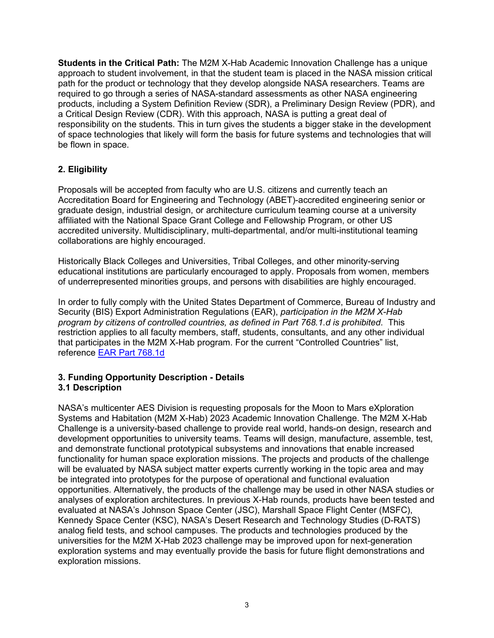**Students in the Critical Path:** The M2M X-Hab Academic Innovation Challenge has a unique approach to student involvement, in that the student team is placed in the NASA mission critical path for the product or technology that they develop alongside NASA researchers. Teams are required to go through a series of NASA-standard assessments as other NASA engineering products, including a System Definition Review (SDR), a Preliminary Design Review (PDR), and a Critical Design Review (CDR). With this approach, NASA is putting a great deal of responsibility on the students. This in turn gives the students a bigger stake in the development of space technologies that likely will form the basis for future systems and technologies that will be flown in space.

#### **2. Eligibility**

Proposals will be accepted from faculty who are U.S. citizens and currently teach an Accreditation Board for Engineering and Technology (ABET)-accredited engineering senior or graduate design, industrial design, or architecture curriculum teaming course at a university affiliated with the National Space Grant College and Fellowship Program, or other US accredited university. Multidisciplinary, multi-departmental, and/or multi-institutional teaming collaborations are highly encouraged.

Historically Black Colleges and Universities, Tribal Colleges, and other minority-serving educational institutions are particularly encouraged to apply. Proposals from women, members of underrepresented minorities groups, and persons with disabilities are highly encouraged.

In order to fully comply with the United States Department of Commerce, Bureau of Industry and Security (BIS) Export Administration Regulations (EAR), *participation in the M2M X-Hab program by citizens of controlled countries, as defined in Part 768.1.d is prohibited*. This restriction applies to all faculty members, staff, students, consultants, and any other individual that participates in the M2M X-Hab program. For the current "Controlled Countries" list, reference EAR Part 768.1d

#### **3. Funding Opportunity Description - Details 3.1 Description**

NASA's multicenter AES Division is requesting proposals for the Moon to Mars eXploration Systems and Habitation (M2M X-Hab) 2023 Academic Innovation Challenge. The M2M X-Hab Challenge is a university-based challenge to provide real world, hands-on design, research and development opportunities to university teams. Teams will design, manufacture, assemble, test, and demonstrate functional prototypical subsystems and innovations that enable increased functionality for human space exploration missions. The projects and products of the challenge will be evaluated by NASA subject matter experts currently working in the topic area and may be integrated into prototypes for the purpose of operational and functional evaluation opportunities. Alternatively, the products of the challenge may be used in other NASA studies or analyses of exploration architectures. In previous X-Hab rounds, products have been tested and evaluated at NASA's Johnson Space Center (JSC), Marshall Space Flight Center (MSFC), Kennedy Space Center (KSC), NASA's Desert Research and Technology Studies (D-RATS) analog field tests, and school campuses. The products and technologies produced by the universities for the M2M X-Hab 2023 challenge may be improved upon for next-generation exploration systems and may eventually provide the basis for future flight demonstrations and exploration missions.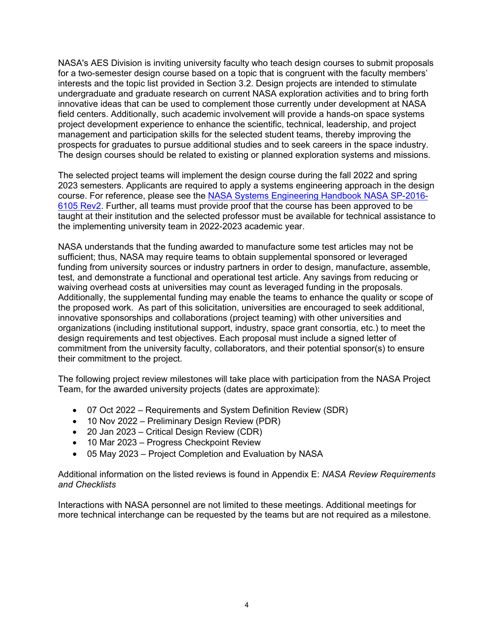NASA's AES Division is inviting university faculty who teach design courses to submit proposals for a two-semester design course based on a topic that is congruent with the faculty members' interests and the topic list provided in Section 3.2. Design projects are intended to stimulate undergraduate and graduate research on current NASA exploration activities and to bring forth innovative ideas that can be used to complement those currently under development at NASA field centers. Additionally, such academic involvement will provide a hands-on space systems project development experience to enhance the scientific, technical, leadership, and project management and participation skills for the selected student teams, thereby improving the prospects for graduates to pursue additional studies and to seek careers in the space industry. The design courses should be related to existing or planned exploration systems and missions.

The selected project teams will implement the design course during the fall 2022 and spring 2023 semesters. Applicants are required to apply a systems engineering approach in the design course. For reference, please see the NASA Systems Engineering Handbook NASA SP-2016- 6105 Rev2. Further, all teams must provide proof that the course has been approved to be taught at their institution and the selected professor must be available for technical assistance to the implementing university team in 2022-2023 academic year.

NASA understands that the funding awarded to manufacture some test articles may not be sufficient; thus, NASA may require teams to obtain supplemental sponsored or leveraged funding from university sources or industry partners in order to design, manufacture, assemble, test, and demonstrate a functional and operational test article. Any savings from reducing or waiving overhead costs at universities may count as leveraged funding in the proposals. Additionally, the supplemental funding may enable the teams to enhance the quality or scope of the proposed work. As part of this solicitation, universities are encouraged to seek additional, innovative sponsorships and collaborations (project teaming) with other universities and organizations (including institutional support, industry, space grant consortia, etc.) to meet the design requirements and test objectives. Each proposal must include a signed letter of commitment from the university faculty, collaborators, and their potential sponsor(s) to ensure their commitment to the project.

The following project review milestones will take place with participation from the NASA Project Team, for the awarded university projects (dates are approximate):

- 07 Oct 2022 Requirements and System Definition Review (SDR)
- 10 Nov 2022 Preliminary Design Review (PDR)
- 20 Jan 2023 Critical Design Review (CDR)
- 10 Mar 2023 Progress Checkpoint Review
- 05 May 2023 Project Completion and Evaluation by NASA

Additional information on the listed reviews is found in Appendix E: *NASA Review Requirements and Checklists* 

Interactions with NASA personnel are not limited to these meetings. Additional meetings for more technical interchange can be requested by the teams but are not required as a milestone.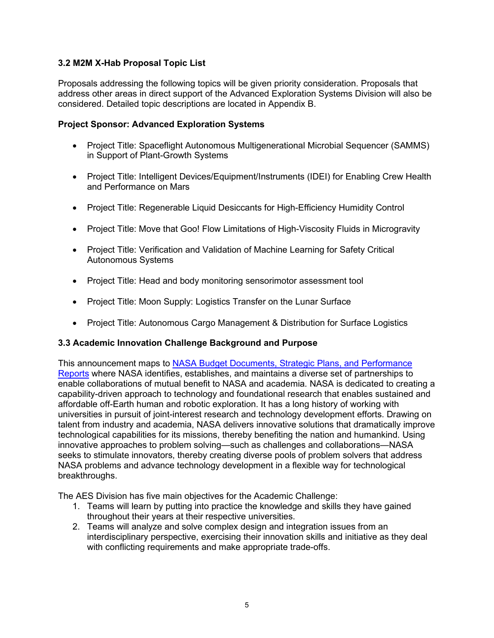#### **3.2 M2M X-Hab Proposal Topic List**

Proposals addressing the following topics will be given priority consideration. Proposals that address other areas in direct support of the Advanced Exploration Systems Division will also be considered. Detailed topic descriptions are located in Appendix B.

#### **Project Sponsor: Advanced Exploration Systems**

- Project Title: Spaceflight Autonomous Multigenerational Microbial Sequencer (SAMMS) in Support of Plant-Growth Systems
- Project Title: Intelligent Devices/Equipment/Instruments (IDEI) for Enabling Crew Health and Performance on Mars
- Project Title: Regenerable Liquid Desiccants for High-Efficiency Humidity Control
- Project Title: Move that Goo! Flow Limitations of High-Viscosity Fluids in Microgravity
- Project Title: Verification and Validation of Machine Learning for Safety Critical Autonomous Systems
- Project Title: Head and body monitoring sensorimotor assessment tool
- Project Title: Moon Supply: Logistics Transfer on the Lunar Surface
- Project Title: Autonomous Cargo Management & Distribution for Surface Logistics

#### **3.3 Academic Innovation Challenge Background and Purpose**

This announcement maps to NASA Budget Documents, Strategic Plans, and Performance Reports where NASA identifies, establishes, and maintains a diverse set of partnerships to enable collaborations of mutual benefit to NASA and academia. NASA is dedicated to creating a capability-driven approach to technology and foundational research that enables sustained and affordable off-Earth human and robotic exploration. It has a long history of working with universities in pursuit of joint-interest research and technology development efforts. Drawing on talent from industry and academia, NASA delivers innovative solutions that dramatically improve technological capabilities for its missions, thereby benefiting the nation and humankind. Using innovative approaches to problem solving—such as challenges and collaborations—NASA seeks to stimulate innovators, thereby creating diverse pools of problem solvers that address NASA problems and advance technology development in a flexible way for technological breakthroughs.

The AES Division has five main objectives for the Academic Challenge:

- 1. Teams will learn by putting into practice the knowledge and skills they have gained throughout their years at their respective universities.
- 2. Teams will analyze and solve complex design and integration issues from an interdisciplinary perspective, exercising their innovation skills and initiative as they deal with conflicting requirements and make appropriate trade-offs.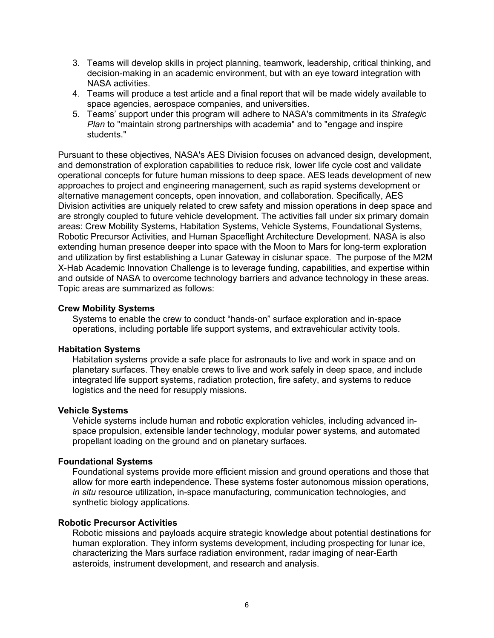- 3. Teams will develop skills in project planning, teamwork, leadership, critical thinking, and decision-making in an academic environment, but with an eye toward integration with NASA activities.
- 4. Teams will produce a test article and a final report that will be made widely available to space agencies, aerospace companies, and universities.
- 5. Teams' support under this program will adhere to NASA's commitments in its *Strategic Plan* to "maintain strong partnerships with academia" and to "engage and inspire students."

Pursuant to these objectives, NASA's AES Division focuses on advanced design, development, and demonstration of exploration capabilities to reduce risk, lower life cycle cost and validate operational concepts for future human missions to deep space. AES leads development of new approaches to project and engineering management, such as rapid systems development or alternative management concepts, open innovation, and collaboration. Specifically, AES Division activities are uniquely related to crew safety and mission operations in deep space and are strongly coupled to future vehicle development. The activities fall under six primary domain areas: Crew Mobility Systems, Habitation Systems, Vehicle Systems, Foundational Systems, Robotic Precursor Activities, and Human Spaceflight Architecture Development. NASA is also extending human presence deeper into space with the Moon to Mars for long-term exploration and utilization by first establishing a Lunar Gateway in cislunar space. The purpose of the M2M X-Hab Academic Innovation Challenge is to leverage funding, capabilities, and expertise within and outside of NASA to overcome technology barriers and advance technology in these areas. Topic areas are summarized as follows:

#### **Crew Mobility Systems**

Systems to enable the crew to conduct "hands-on" surface exploration and in-space operations, including portable life support systems, and extravehicular activity tools.

#### **Habitation Systems**

Habitation systems provide a safe place for astronauts to live and work in space and on planetary surfaces. They enable crews to live and work safely in deep space, and include integrated life support systems, radiation protection, fire safety, and systems to reduce logistics and the need for resupply missions.

#### **Vehicle Systems**

Vehicle systems include human and robotic exploration vehicles, including advanced inspace propulsion, extensible lander technology, modular power systems, and automated propellant loading on the ground and on planetary surfaces.

#### **Foundational Systems**

Foundational systems provide more efficient mission and ground operations and those that allow for more earth independence. These systems foster autonomous mission operations, *in situ* resource utilization, in-space manufacturing, communication technologies, and synthetic biology applications.

#### **Robotic Precursor Activities**

Robotic missions and payloads acquire strategic knowledge about potential destinations for human exploration. They inform systems development, including prospecting for lunar ice, characterizing the Mars surface radiation environment, radar imaging of near-Earth asteroids, instrument development, and research and analysis.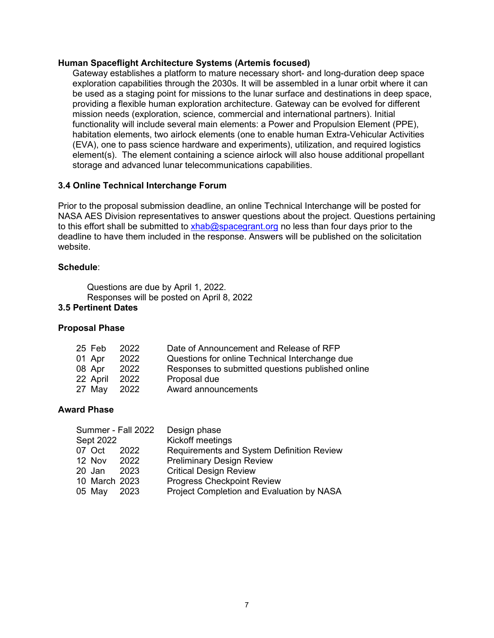#### **Human Spaceflight Architecture Systems (Artemis focused)**

Gateway establishes a platform to mature necessary short- and long-duration deep space exploration capabilities through the 2030s. It will be assembled in a lunar orbit where it can be used as a staging point for missions to the lunar surface and destinations in deep space, providing a flexible human exploration architecture. Gateway can be evolved for different mission needs (exploration, science, commercial and international partners). Initial functionality will include several main elements: a Power and Propulsion Element (PPE), habitation elements, two airlock elements (one to enable human Extra-Vehicular Activities (EVA), one to pass science hardware and experiments), utilization, and required logistics element(s). The element containing a science airlock will also house additional propellant storage and advanced lunar telecommunications capabilities.

#### **3.4 Online Technical Interchange Forum**

Prior to the proposal submission deadline, an online Technical Interchange will be posted for NASA AES Division representatives to answer questions about the project. Questions pertaining to this effort shall be submitted to xhab@spacegrant.org no less than four days prior to the deadline to have them included in the response. Answers will be published on the solicitation website.

#### **Schedule**:

Questions are due by April 1, 2022. Responses will be posted on April 8, 2022

#### **3.5 Pertinent Dates**

#### **Proposal Phase**

| 25 Feb   | 2022 | Date of Announcement and Release of RFP           |
|----------|------|---------------------------------------------------|
| 01 Apr   | 2022 | Questions for online Technical Interchange due    |
| 08 Apr   | 2022 | Responses to submitted questions published online |
| 22 April | 2022 | Proposal due                                      |
| 27 May   | 2022 | Award announcements                               |

#### **Award Phase**

| Summer - Fall 2022 | Design phase                              |
|--------------------|-------------------------------------------|
| Sept 2022          | Kickoff meetings                          |
| 07 Oct<br>2022     | Requirements and System Definition Review |
| 12 Nov 2022        | <b>Preliminary Design Review</b>          |
| 20 Jan<br>2023     | <b>Critical Design Review</b>             |
| 10 March 2023      | <b>Progress Checkpoint Review</b>         |
| 05 May 2023        | Project Completion and Evaluation by NASA |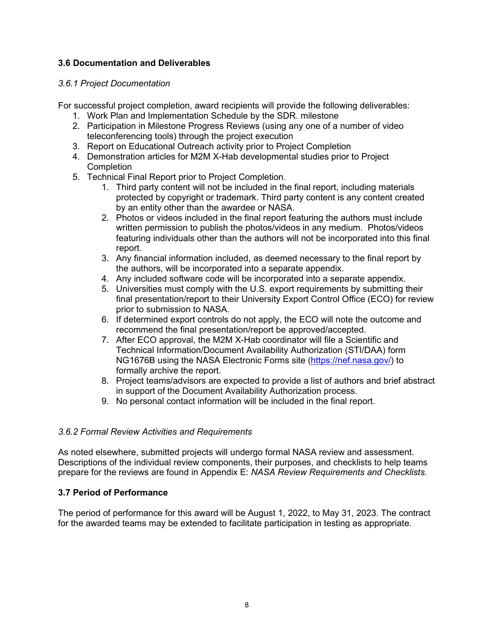#### **3.6 Documentation and Deliverables**

#### *3.6.1 Project Documentation*

For successful project completion, award recipients will provide the following deliverables:

- 1. Work Plan and Implementation Schedule by the SDR. milestone
- 2. Participation in Milestone Progress Reviews (using any one of a number of video teleconferencing tools) through the project execution
- 3. Report on Educational Outreach activity prior to Project Completion
- 4. Demonstration articles for M2M X-Hab developmental studies prior to Project **Completion**
- 5. Technical Final Report prior to Project Completion.
	- 1. Third party content will not be included in the final report, including materials protected by copyright or trademark. Third party content is any content created by an entity other than the awardee or NASA.
	- 2. Photos or videos included in the final report featuring the authors must include written permission to publish the photos/videos in any medium. Photos/videos featuring individuals other than the authors will not be incorporated into this final report.
	- 3. Any financial information included, as deemed necessary to the final report by the authors, will be incorporated into a separate appendix.
	- 4. Any included software code will be incorporated into a separate appendix.
	- 5. Universities must comply with the U.S. export requirements by submitting their final presentation/report to their University Export Control Office (ECO) for review prior to submission to NASA.
	- 6. If determined export controls do not apply, the ECO will note the outcome and recommend the final presentation/report be approved/accepted.
	- 7. After ECO approval, the M2M X-Hab coordinator will file a Scientific and Technical Information/Document Availability Authorization (STI/DAA) form NG1676B using the NASA Electronic Forms site (https://nef.nasa.gov/) to formally archive the report.
	- 8. Project teams/advisors are expected to provide a list of authors and brief abstract in support of the Document Availability Authorization process.
	- 9. No personal contact information will be included in the final report.

#### *3.6.2 Formal Review Activities and Requirements*

As noted elsewhere, submitted projects will undergo formal NASA review and assessment. Descriptions of the individual review components, their purposes, and checklists to help teams prepare for the reviews are found in Appendix E: *NASA Review Requirements and Checklists.*

#### **3.7 Period of Performance**

The period of performance for this award will be August 1, 2022, to May 31, 2023. The contract for the awarded teams may be extended to facilitate participation in testing as appropriate.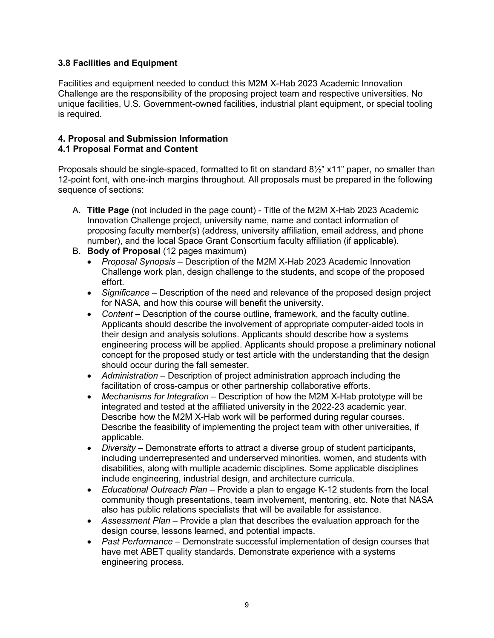#### **3.8 Facilities and Equipment**

Facilities and equipment needed to conduct this M2M X-Hab 2023 Academic Innovation Challenge are the responsibility of the proposing project team and respective universities. No unique facilities, U.S. Government-owned facilities, industrial plant equipment, or special tooling is required.

## **4. Proposal and Submission Information**

#### **4.1 Proposal Format and Content**

Proposals should be single-spaced, formatted to fit on standard  $8\frac{1}{2}$ " x11" paper, no smaller than 12-point font, with one-inch margins throughout. All proposals must be prepared in the following sequence of sections:

- A. **Title Page** (not included in the page count) Title of the M2M X-Hab 2023 Academic Innovation Challenge project, university name, name and contact information of proposing faculty member(s) (address, university affiliation, email address, and phone number), and the local Space Grant Consortium faculty affiliation (if applicable).
- B. **Body of Proposal** (12 pages maximum)
	- *Proposal Synopsis* Description of the M2M X-Hab 2023 Academic Innovation Challenge work plan, design challenge to the students, and scope of the proposed effort.
	- *Significance* Description of the need and relevance of the proposed design project for NASA, and how this course will benefit the university.
	- *Content* Description of the course outline, framework, and the faculty outline. Applicants should describe the involvement of appropriate computer-aided tools in their design and analysis solutions. Applicants should describe how a systems engineering process will be applied. Applicants should propose a preliminary notional concept for the proposed study or test article with the understanding that the design should occur during the fall semester.
	- *Administration* Description of project administration approach including the facilitation of cross-campus or other partnership collaborative efforts.
	- *Mechanisms for Integration* Description of how the M2M X-Hab prototype will be integrated and tested at the affiliated university in the 2022-23 academic year. Describe how the M2M X-Hab work will be performed during regular courses. Describe the feasibility of implementing the project team with other universities, if applicable.
	- *Diversity* Demonstrate efforts to attract a diverse group of student participants, including underrepresented and underserved minorities, women, and students with disabilities, along with multiple academic disciplines. Some applicable disciplines include engineering, industrial design, and architecture curricula.
	- *Educational Outreach Plan* Provide a plan to engage K-12 students from the local community though presentations, team involvement, mentoring, etc. Note that NASA also has public relations specialists that will be available for assistance.
	- *Assessment Plan* Provide a plan that describes the evaluation approach for the design course, lessons learned, and potential impacts.
	- *Past Performance* Demonstrate successful implementation of design courses that have met ABET quality standards. Demonstrate experience with a systems engineering process.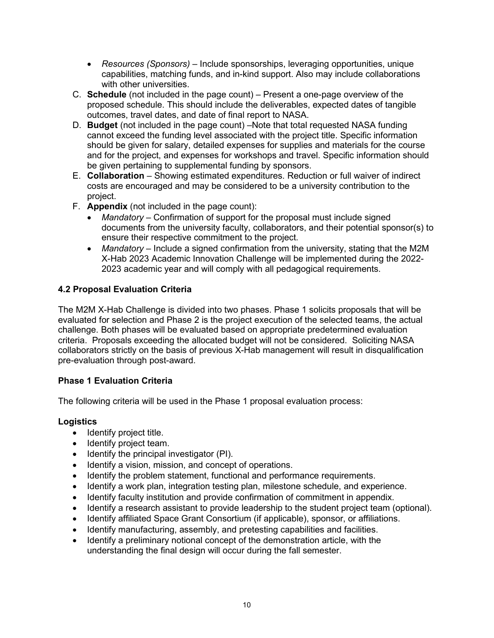- *Resources (Sponsors)* Include sponsorships, leveraging opportunities, unique capabilities, matching funds, and in-kind support. Also may include collaborations with other universities.
- C. **Schedule** (not included in the page count) Present a one-page overview of the proposed schedule. This should include the deliverables, expected dates of tangible outcomes, travel dates, and date of final report to NASA.
- D. **Budget** (not included in the page count) –Note that total requested NASA funding cannot exceed the funding level associated with the project title. Specific information should be given for salary, detailed expenses for supplies and materials for the course and for the project, and expenses for workshops and travel. Specific information should be given pertaining to supplemental funding by sponsors.
- E. **Collaboration** Showing estimated expenditures. Reduction or full waiver of indirect costs are encouraged and may be considered to be a university contribution to the project.
- F. **Appendix** (not included in the page count):
	- *Mandatory* Confirmation of support for the proposal must include signed documents from the university faculty, collaborators, and their potential sponsor(s) to ensure their respective commitment to the project.
	- *Mandatory* Include a signed confirmation from the university, stating that the M2M X-Hab 2023 Academic Innovation Challenge will be implemented during the 2022- 2023 academic year and will comply with all pedagogical requirements.

#### **4.2 Proposal Evaluation Criteria**

The M2M X-Hab Challenge is divided into two phases. Phase 1 solicits proposals that will be evaluated for selection and Phase 2 is the project execution of the selected teams, the actual challenge. Both phases will be evaluated based on appropriate predetermined evaluation criteria. Proposals exceeding the allocated budget will not be considered. Soliciting NASA collaborators strictly on the basis of previous X-Hab management will result in disqualification pre-evaluation through post-award.

#### **Phase 1 Evaluation Criteria**

The following criteria will be used in the Phase 1 proposal evaluation process:

#### **Logistics**

- $\bullet$  Identify project title.
- Identify project team.
- $\bullet$  Identify the principal investigator (PI).
- Identify a vision, mission, and concept of operations.
- Identify the problem statement, functional and performance requirements.
- Identify a work plan, integration testing plan, milestone schedule, and experience.
- Identify faculty institution and provide confirmation of commitment in appendix.
- Identify a research assistant to provide leadership to the student project team (optional).
- Identify affiliated Space Grant Consortium (if applicable), sponsor, or affiliations.
- Identify manufacturing, assembly, and pretesting capabilities and facilities.
- Identify a preliminary notional concept of the demonstration article, with the understanding the final design will occur during the fall semester.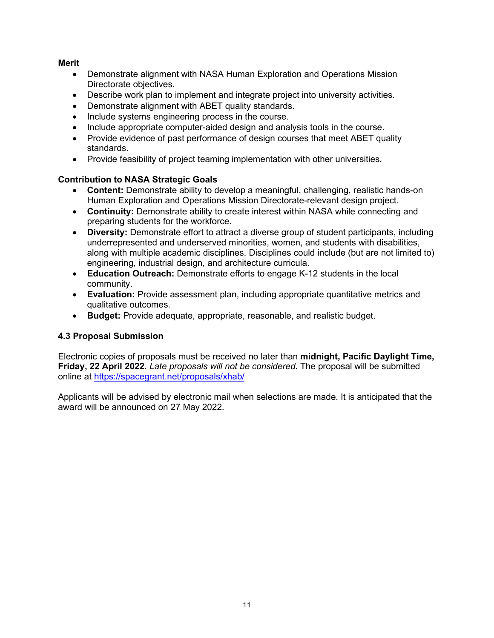#### **Merit**

- Demonstrate alignment with NASA Human Exploration and Operations Mission Directorate objectives.
- Describe work plan to implement and integrate project into university activities.
- Demonstrate alignment with ABET quality standards.
- Include systems engineering process in the course.
- Include appropriate computer-aided design and analysis tools in the course.
- Provide evidence of past performance of design courses that meet ABET quality standards.
- Provide feasibility of project teaming implementation with other universities.

#### **Contribution to NASA Strategic Goals**

- **Content:** Demonstrate ability to develop a meaningful, challenging, realistic hands-on Human Exploration and Operations Mission Directorate-relevant design project.
- **Continuity:** Demonstrate ability to create interest within NASA while connecting and preparing students for the workforce.
- **Diversity:** Demonstrate effort to attract a diverse group of student participants, including underrepresented and underserved minorities, women, and students with disabilities, along with multiple academic disciplines. Disciplines could include (but are not limited to) engineering, industrial design, and architecture curricula.
- **Education Outreach:** Demonstrate efforts to engage K-12 students in the local community.
- **Evaluation:** Provide assessment plan, including appropriate quantitative metrics and qualitative outcomes.
- **Budget:** Provide adequate, appropriate, reasonable, and realistic budget.

#### **4.3 Proposal Submission**

Electronic copies of proposals must be received no later than **midnight, Pacific Daylight Time, Friday, 22 April 2022**. *Late proposals will not be considered.* The proposal will be submitted online at https://spacegrant.net/proposals/xhab/

Applicants will be advised by electronic mail when selections are made. It is anticipated that the award will be announced on 27 May 2022.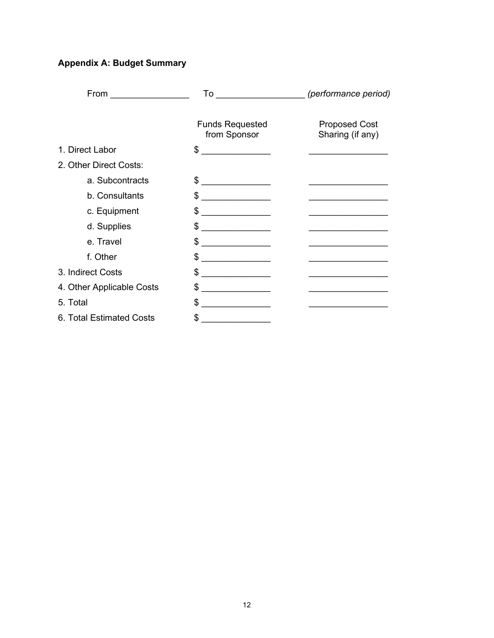### **Appendix A: Budget Summary**

| From $\qquad \qquad \qquad$ |                                                           | To (performance period)                                                         |
|-----------------------------|-----------------------------------------------------------|---------------------------------------------------------------------------------|
|                             | <b>Funds Requested</b><br>from Sponsor                    | <b>Proposed Cost</b><br>Sharing (if any)                                        |
| 1. Direct Labor             | \$                                                        | the contract of the contract of the contract of the contract of the contract of |
| 2. Other Direct Costs:      |                                                           |                                                                                 |
| a. Subcontracts             | \$                                                        |                                                                                 |
| b. Consultants              | \$                                                        |                                                                                 |
| c. Equipment                | \$                                                        |                                                                                 |
| d. Supplies                 | \$<br><u> 1980 - John Stein, Amerikaansk politiker</u>    |                                                                                 |
| e. Travel                   | \$<br><u> 1990 - Johann Barbara, martx</u>                |                                                                                 |
| f. Other                    | \$.                                                       |                                                                                 |
| 3. Indirect Costs           | \$                                                        | <u> 1980 - Johann Barbara, martxa alemaniar a</u>                               |
| 4. Other Applicable Costs   | S                                                         | <u> 1989 - Jan Barnett, fransk politik (d. 1989)</u>                            |
| 5. Total                    | \$<br><u> 1980 - Andrea Station Barbara, amerikan per</u> |                                                                                 |
| 6. Total Estimated Costs    | \$.                                                       |                                                                                 |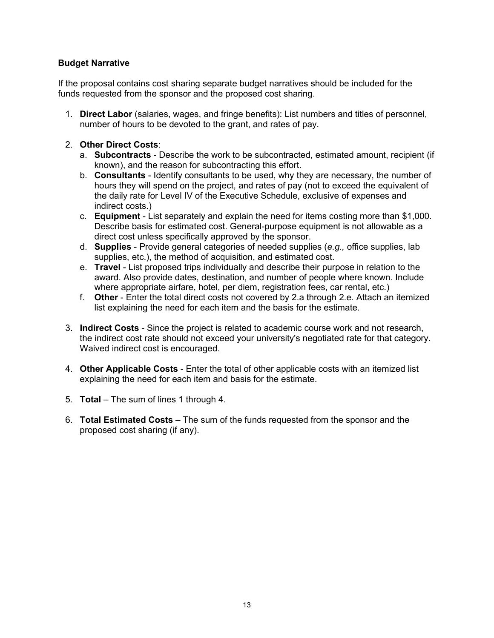#### **Budget Narrative**

If the proposal contains cost sharing separate budget narratives should be included for the funds requested from the sponsor and the proposed cost sharing.

- 1. **Direct Labor** (salaries, wages, and fringe benefits): List numbers and titles of personnel, number of hours to be devoted to the grant, and rates of pay.
- 2. **Other Direct Costs**:
	- a. **Subcontracts** Describe the work to be subcontracted, estimated amount, recipient (if known), and the reason for subcontracting this effort.
	- b. **Consultants** Identify consultants to be used, why they are necessary, the number of hours they will spend on the project, and rates of pay (not to exceed the equivalent of the daily rate for Level IV of the Executive Schedule, exclusive of expenses and indirect costs.)
	- c. **Equipment** List separately and explain the need for items costing more than \$1,000. Describe basis for estimated cost. General-purpose equipment is not allowable as a direct cost unless specifically approved by the sponsor.
	- d. **Supplies** Provide general categories of needed supplies (*e.g.,* office supplies, lab supplies, etc.), the method of acquisition, and estimated cost.
	- e. **Travel** List proposed trips individually and describe their purpose in relation to the award. Also provide dates, destination, and number of people where known. Include where appropriate airfare, hotel, per diem, registration fees, car rental, etc.)
	- f. **Other** Enter the total direct costs not covered by 2.a through 2.e. Attach an itemized list explaining the need for each item and the basis for the estimate.
- 3. **Indirect Costs**  Since the project is related to academic course work and not research, the indirect cost rate should not exceed your university's negotiated rate for that category. Waived indirect cost is encouraged.
- 4. **Other Applicable Costs** Enter the total of other applicable costs with an itemized list explaining the need for each item and basis for the estimate.
- 5. **Total**  The sum of lines 1 through 4.
- 6. **Total Estimated Costs** The sum of the funds requested from the sponsor and the proposed cost sharing (if any).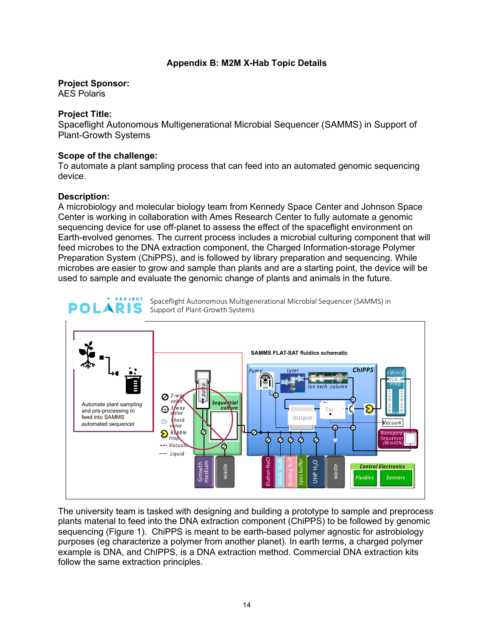#### **Appendix B: M2M X-Hab Topic Details**

### **Project Sponsor:**

AES Polaris

#### **Project Title:**

Spaceflight Autonomous Multigenerational Microbial Sequencer (SAMMS) in Support of Plant-Growth Systems

#### **Scope of the challenge:**

To automate a plant sampling process that can feed into an automated genomic sequencing device.

#### **Description:**

A microbiology and molecular biology team from Kennedy Space Center and Johnson Space Center is working in collaboration with Ames Research Center to fully automate a genomic sequencing device for use off-planet to assess the effect of the spaceflight environment on Earth-evolved genomes. The current process includes a microbial culturing component that will feed microbes to the DNA extraction component, the Charged Information-storage Polymer Preparation System (ChiPPS), and is followed by library preparation and sequencing. While microbes are easier to grow and sample than plants and are a starting point, the device will be used to sample and evaluate the genomic change of plants and animals in the future.

![](_page_13_Figure_9.jpeg)

The university team is tasked with designing and building a prototype to sample and preprocess plants material to feed into the DNA extraction component (ChiPPS) to be followed by genomic sequencing (Figure 1). ChiPPS is meant to be earth-based polymer agnostic for astrobiology purposes (eg characterize a polymer from another planet). In earth terms, a charged polymer example is DNA, and ChIPPS, is a DNA extraction method. Commercial DNA extraction kits follow the same extraction principles.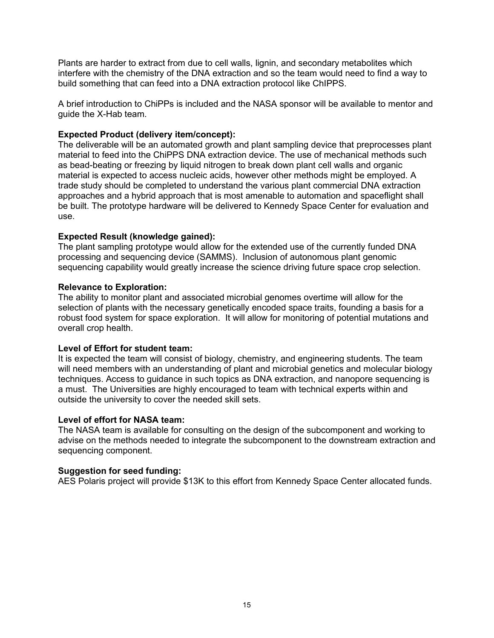Plants are harder to extract from due to cell walls, lignin, and secondary metabolites which interfere with the chemistry of the DNA extraction and so the team would need to find a way to build something that can feed into a DNA extraction protocol like ChIPPS.

A brief introduction to ChiPPs is included and the NASA sponsor will be available to mentor and guide the X-Hab team.

#### **Expected Product (delivery item/concept):**

The deliverable will be an automated growth and plant sampling device that preprocesses plant material to feed into the ChiPPS DNA extraction device. The use of mechanical methods such as bead-beating or freezing by liquid nitrogen to break down plant cell walls and organic material is expected to access nucleic acids, however other methods might be employed. A trade study should be completed to understand the various plant commercial DNA extraction approaches and a hybrid approach that is most amenable to automation and spaceflight shall be built. The prototype hardware will be delivered to Kennedy Space Center for evaluation and use.

#### **Expected Result (knowledge gained):**

The plant sampling prototype would allow for the extended use of the currently funded DNA processing and sequencing device (SAMMS). Inclusion of autonomous plant genomic sequencing capability would greatly increase the science driving future space crop selection.

#### **Relevance to Exploration:**

The ability to monitor plant and associated microbial genomes overtime will allow for the selection of plants with the necessary genetically encoded space traits, founding a basis for a robust food system for space exploration. It will allow for monitoring of potential mutations and overall crop health.

#### **Level of Effort for student team:**

It is expected the team will consist of biology, chemistry, and engineering students. The team will need members with an understanding of plant and microbial genetics and molecular biology techniques. Access to guidance in such topics as DNA extraction, and nanopore sequencing is a must. The Universities are highly encouraged to team with technical experts within and outside the university to cover the needed skill sets.

#### **Level of effort for NASA team:**

The NASA team is available for consulting on the design of the subcomponent and working to advise on the methods needed to integrate the subcomponent to the downstream extraction and sequencing component.

#### **Suggestion for seed funding:**

AES Polaris project will provide \$13K to this effort from Kennedy Space Center allocated funds.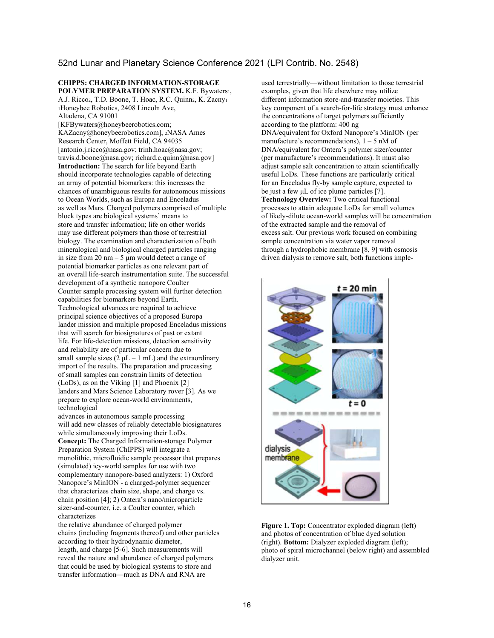#### 52nd Lunar and Planetary Science Conference 2021 (LPI Contrib. No. 2548)

**CHIPPS: CHARGED INFORMATION-STORAGE POLYMER PREPARATION SYSTEM.** K.F. Bywaters1, A.J. Ricco<sub>2</sub>, T.D. Boone, T. Hoac, R.C. Quinn<sub>2</sub>, K. Zacny<sub>1</sub> <sup>1</sup>Honeybee Robotics, 2408 Lincoln Ave, Altadena, CA 91001

[KFBywaters@honeybeerobotics.com; KAZacny@honeybeerobotics.com], 2NASA Ames Research Center, Moffett Field, CA 94035 [antonio.j.ricco@nasa.gov; trinh.hoac@nasa.gov; travis.d.boone@nasa.gov; richard.c.quinn@nasa.gov] **Introduction:** The search for life beyond Earth should incorporate technologies capable of detecting an array of potential biomarkers: this increases the chances of unambiguous results for autonomous missions to Ocean Worlds, such as Europa and Enceladus as well as Mars. Charged polymers comprised of multiple block types are biological systems' means to store and transfer information; life on other worlds may use different polymers than those of terrestrial biology. The examination and characterization of both mineralogical and biological charged particles ranging in size from  $20 \text{ nm} - 5 \text{ µm}$  would detect a range of potential biomarker particles as one relevant part of an overall life-search instrumentation suite. The successful development of a synthetic nanopore Coulter Counter sample processing system will further detection capabilities for biomarkers beyond Earth. Technological advances are required to achieve principal science objectives of a proposed Europa lander mission and multiple proposed Enceladus missions that will search for biosignatures of past or extant life. For life-detection missions, detection sensitivity and reliability are of particular concern due to small sample sizes  $(2 \mu L - 1 \text{ mL})$  and the extraordinary import of the results. The preparation and processing of small samples can constrain limits of detection (LoDs), as on the Viking [1] and Phoenix [2] landers and Mars Science Laboratory rover [3]. As we prepare to explore ocean-world environments, technological

advances in autonomous sample processing will add new classes of reliably detectable biosignatures while simultaneously improving their LoDs. **Concept:** The Charged Information-storage Polymer Preparation System (ChIPPS) will integrate a monolithic, microfluidic sample processor that prepares (simulated) icy-world samples for use with two complementary nanopore-based analyzers: 1) Oxford Nanopore's MinION - a charged-polymer sequencer that characterizes chain size, shape, and charge vs. chain position [4]; 2) Ontera's nano/microparticle sizer-and-counter, i.e. a Coulter counter, which characterizes

the relative abundance of charged polymer chains (including fragments thereof) and other particles according to their hydrodynamic diameter, length, and charge [5-6]. Such measurements will reveal the nature and abundance of charged polymers that could be used by biological systems to store and transfer information—much as DNA and RNA are

used terrestrially—without limitation to those terrestrial examples, given that life elsewhere may utilize different information store-and-transfer moieties. This key component of a search-for-life strategy must enhance the concentrations of target polymers sufficiently according to the platform: 400 ng DNA/equivalent for Oxford Nanopore's MinION (per manufacture's recommendations),  $1 - 5$  nM of DNA/equivalent for Ontera's polymer sizer/counter (per manufacture's recommendations). It must also adjust sample salt concentration to attain scientifically useful LoDs. These functions are particularly critical for an Enceladus fly-by sample capture, expected to be just a few μL of ice plume particles [7]. **Technology Overview:** Two critical functional processes to attain adequate LoDs for small volumes of likely-dilute ocean-world samples will be concentration of the extracted sample and the removal of excess salt. Our previous work focused on combining sample concentration via water vapor removal through a hydrophobic membrane [8, 9] with osmosis driven dialysis to remove salt, both functions imple-

![](_page_15_Picture_6.jpeg)

**Figure 1. Top:** Concentrator exploded diagram (left) and photos of concentration of blue dyed solution (right). **Bottom:** Dialyzer exploded diagram (left); photo of spiral microchannel (below right) and assembled dialyzer unit.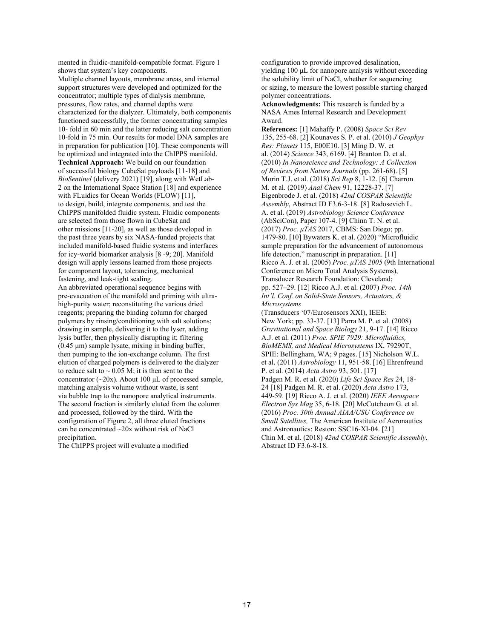mented in fluidic-manifold-compatible format. Figure 1 shows that system's key components.

Multiple channel layouts, membrane areas, and internal support structures were developed and optimized for the concentrator; multiple types of dialysis membrane, pressures, flow rates, and channel depths were characterized for the dialyzer. Ultimately, both components functioned successfully, the former concentrating samples 10- fold in 60 min and the latter reducing salt concentration 10-fold in 75 min. Our results for model DNA samples are in preparation for publication [10]. These components will be optimized and integrated into the ChIPPS manifold. **Technical Approach:** We build on our foundation of successful biology CubeSat payloads [11-18] and *BioSentinel* (delivery 2021) [19], along with WetLab-2 on the International Space Station [18] and experience with FLuidics for Ocean Worlds (FLOW) [11], to design, build, integrate components, and test the ChIPPS manifolded fluidic system. Fluidic components are selected from those flown in CubeSat and other missions [11-20], as well as those developed in the past three years by six NASA-funded projects that included manifold-based fluidic systems and interfaces for icy-world biomarker analysis [8 -9; 20]. Manifold design will apply lessons learned from those projects for component layout, tolerancing, mechanical fastening, and leak-tight sealing.

An abbreviated operational sequence begins with pre-evacuation of the manifold and priming with ultrahigh-purity water; reconstituting the various dried reagents; preparing the binding column for charged polymers by rinsing/conditioning with salt solutions; drawing in sample, delivering it to the lyser, adding lysis buffer, then physically disrupting it; filtering (0.45 μm) sample lysate, mixing in binding buffer, then pumping to the ion-exchange column. The first elution of charged polymers is delivered to the dialyzer to reduce salt to  $\sim 0.05$  M; it is then sent to the concentrator (~20x). About 100 μL of processed sample, matching analysis volume without waste, is sent via bubble trap to the nanopore analytical instruments. The second fraction is similarly eluted from the column and processed, followed by the third. With the configuration of Figure 2, all three eluted fractions can be concentrated ~20x without risk of NaCl precipitation.

The ChIPPS project will evaluate a modified

configuration to provide improved desalination, yielding 100 μL for nanopore analysis without exceeding the solubility limit of NaCl, whether for sequencing or sizing, to measure the lowest possible starting charged polymer concentrations.

**Acknowledgments:** This research is funded by a NASA Ames Internal Research and Development Award.

**References:** [1] Mahaffy P. (2008) *Space Sci Rev*  135, 255-68. [2] Kounaves S. P. et al. (2010) *J Geophys Res: Planets* 115, E00E10. [3] Ming D. W. et al. (2014) *Science* 343, 6169. [4] Branton D. et al. (2010) *In Nanoscience and Technology: A Collection of Reviews from Nature Journals* (pp. 261-68). [5] Morin T.J. et al. (2018) *Sci Rep* 8, 1-12. [6] Charron M. et al. (2019) *Anal Chem* 91, 12228-37. [7] Eigenbrode J. et al. (2018) *42nd COSPAR Scientific Assembly*, Abstract ID F3.6-3-18. [8] Radosevich L. A. et al. (2019) *Astrobiology Science Conference*  (AbSciCon), Paper 107-4. [9] Chinn T. N. et al. (2017) *Proc. μTAS* 2017, CBMS: San Diego; pp. 1479-80. [10] Bywaters K. et al. (2020) "Microfluidic sample preparation for the advancement of autonomous life detection," manuscript in preparation. [11] Ricco A. J. et al. (2005) *Proc. μTAS 2005* (9th International Conference on Micro Total Analysis Systems), Transducer Research Foundation: Cleveland; pp. 527–29. [12] Ricco A.J. et al. (2007) *Proc. 14th Int'l. Conf. on Solid-State Sensors, Actuators, & Microsystems* 

(Transducers '07/Eurosensors XXI), IEEE: New York; pp. 33-37. [13] Parra M. P. et al. (2008) *Gravitational and Space Biology* 21, 9-17. [14] Ricco A.J. et al. (2011) *Proc. SPIE 7929: Microfluidics, BioMEMS, and Medical Microsystems* IX, 79290T, SPIE: Bellingham, WA; 9 pages. [15] Nicholson W.L. et al. (2011) *Astrobiology* 11, 951-58. [16] Ehrenfreund P. et al. (2014) *Acta Astro* 93, 501. [17] Padgen M. R. et al. (2020) *Life Sci Space Res* 24, 18- 24 [18] Padgen M. R. et al. (2020) *Acta Astro* 173, 449-59. [19] Ricco A. J. et al. (2020) *IEEE Aerospace Electron Sys Mag* 35, 6-18. [20] McCutcheon G. et al. (2016) *Proc. 30th Annual AIAA/USU Conference on Small Satellites,* The American Institute of Aeronautics and Astronautics: Reston: SSC16-XI-04. [21] Chin M. et al. (2018) *42nd COSPAR Scientific Assembly*, Abstract ID F3.6-8-18.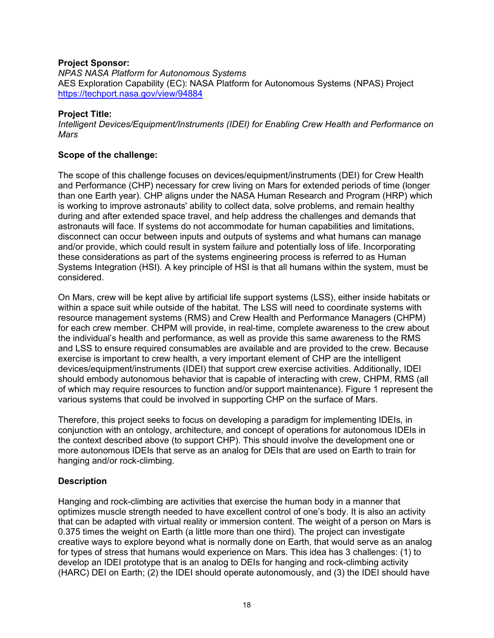#### **Project Sponsor:**

*NPAS NASA Platform for Autonomous Systems*  AES Exploration Capability (EC): NASA Platform for Autonomous Systems (NPAS) Project https://techport.nasa.gov/view/94884

#### **Project Title:**

*Intelligent Devices/Equipment/Instruments (IDEI) for Enabling Crew Health and Performance on Mars* 

#### **Scope of the challenge:**

The scope of this challenge focuses on devices/equipment/instruments (DEI) for Crew Health and Performance (CHP) necessary for crew living on Mars for extended periods of time (longer than one Earth year). CHP aligns under the NASA Human Research and Program (HRP) which is working to improve astronauts' ability to collect data, solve problems, and remain healthy during and after extended space travel, and help address the challenges and demands that astronauts will face. If systems do not accommodate for human capabilities and limitations, disconnect can occur between inputs and outputs of systems and what humans can manage and/or provide, which could result in system failure and potentially loss of life. Incorporating these considerations as part of the systems engineering process is referred to as Human Systems Integration (HSI). A key principle of HSI is that all humans within the system, must be considered.

On Mars, crew will be kept alive by artificial life support systems (LSS), either inside habitats or within a space suit while outside of the habitat. The LSS will need to coordinate systems with resource management systems (RMS) and Crew Health and Performance Managers (CHPM) for each crew member. CHPM will provide, in real-time, complete awareness to the crew about the individual's health and performance, as well as provide this same awareness to the RMS and LSS to ensure required consumables are available and are provided to the crew. Because exercise is important to crew health, a very important element of CHP are the intelligent devices/equipment/instruments (IDEI) that support crew exercise activities. Additionally, IDEI should embody autonomous behavior that is capable of interacting with crew, CHPM, RMS (all of which may require resources to function and/or support maintenance). Figure 1 represent the various systems that could be involved in supporting CHP on the surface of Mars.

Therefore, this project seeks to focus on developing a paradigm for implementing IDEIs, in conjunction with an ontology, architecture, and concept of operations for autonomous IDEIs in the context described above (to support CHP). This should involve the development one or more autonomous IDEIs that serve as an analog for DEIs that are used on Earth to train for hanging and/or rock-climbing.

#### **Description**

Hanging and rock-climbing are activities that exercise the human body in a manner that optimizes muscle strength needed to have excellent control of one's body. It is also an activity that can be adapted with virtual reality or immersion content. The weight of a person on Mars is 0.375 times the weight on Earth (a little more than one third). The project can investigate creative ways to explore beyond what is normally done on Earth, that would serve as an analog for types of stress that humans would experience on Mars. This idea has 3 challenges: (1) to develop an IDEI prototype that is an analog to DEIs for hanging and rock-climbing activity (HARC) DEI on Earth; (2) the IDEI should operate autonomously, and (3) the IDEI should have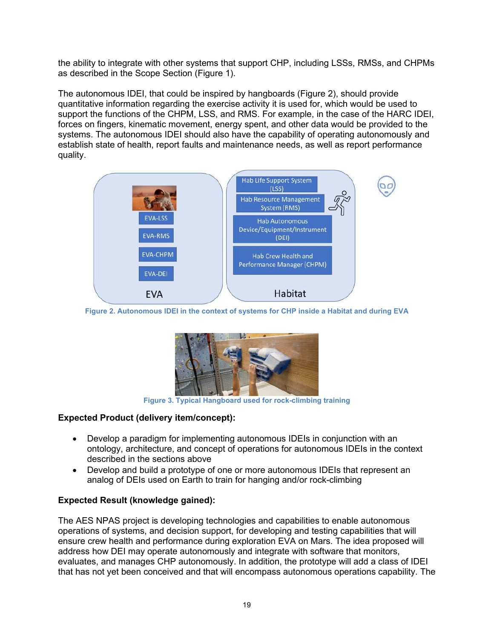the ability to integrate with other systems that support CHP, including LSSs, RMSs, and CHPMs as described in the Scope Section (Figure 1).

The autonomous IDEI, that could be inspired by hangboards (Figure 2), should provide quantitative information regarding the exercise activity it is used for, which would be used to support the functions of the CHPM, LSS, and RMS. For example, in the case of the HARC IDEI, forces on fingers, kinematic movement, energy spent, and other data would be provided to the systems. The autonomous IDEI should also have the capability of operating autonomously and establish state of health, report faults and maintenance needs, as well as report performance quality.

![](_page_18_Figure_2.jpeg)

**Figure 2. Autonomous IDEI in the context of systems for CHP inside a Habitat and during EVA**

![](_page_18_Picture_4.jpeg)

**Figure 3. Typical Hangboard used for rock-climbing training**

### **Expected Product (delivery item/concept):**

- Develop a paradigm for implementing autonomous IDEIs in conjunction with an ontology, architecture, and concept of operations for autonomous IDEIs in the context described in the sections above
- Develop and build a prototype of one or more autonomous IDEIs that represent an analog of DEIs used on Earth to train for hanging and/or rock-climbing

### **Expected Result (knowledge gained):**

The AES NPAS project is developing technologies and capabilities to enable autonomous operations of systems, and decision support, for developing and testing capabilities that will ensure crew health and performance during exploration EVA on Mars. The idea proposed will address how DEI may operate autonomously and integrate with software that monitors, evaluates, and manages CHP autonomously. In addition, the prototype will add a class of IDEI that has not yet been conceived and that will encompass autonomous operations capability. The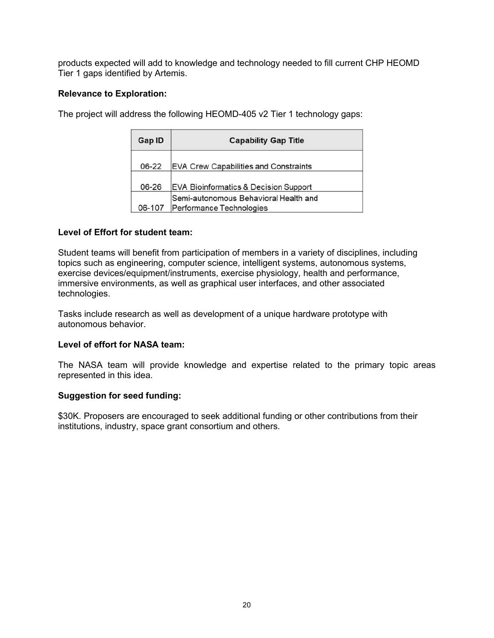products expected will add to knowledge and technology needed to fill current CHP HEOMD Tier 1 gaps identified by Artemis.

#### **Relevance to Exploration:**

The project will address the following HEOMD-405 v2 Tier 1 technology gaps:

| <b>Capability Gap Title</b><br>Gap ID |                                                                   |
|---------------------------------------|-------------------------------------------------------------------|
| 06-22                                 | <b>EVA Crew Capabilities and Constraints</b>                      |
| 06-26                                 | EVA Bioinformatics & Decision Support                             |
| 06-107                                | Semi-autonomous Behavioral Health and<br>Performance Technologies |

#### **Level of Effort for student team:**

Student teams will benefit from participation of members in a variety of disciplines, including topics such as engineering, computer science, intelligent systems, autonomous systems, exercise devices/equipment/instruments, exercise physiology, health and performance, immersive environments, as well as graphical user interfaces, and other associated technologies.

Tasks include research as well as development of a unique hardware prototype with autonomous behavior.

#### **Level of effort for NASA team:**

The NASA team will provide knowledge and expertise related to the primary topic areas represented in this idea.

#### **Suggestion for seed funding:**

\$30K. Proposers are encouraged to seek additional funding or other contributions from their institutions, industry, space grant consortium and others.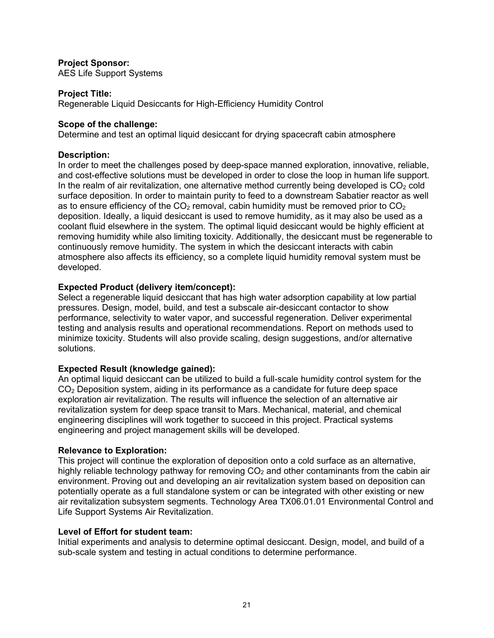#### **Project Sponsor:**

AES Life Support Systems

#### **Project Title:**

Regenerable Liquid Desiccants for High-Efficiency Humidity Control

#### **Scope of the challenge:**

Determine and test an optimal liquid desiccant for drying spacecraft cabin atmosphere

#### **Description:**

In order to meet the challenges posed by deep-space manned exploration, innovative, reliable, and cost-effective solutions must be developed in order to close the loop in human life support. In the realm of air revitalization, one alternative method currently being developed is  $CO<sub>2</sub>$  cold surface deposition. In order to maintain purity to feed to a downstream Sabatier reactor as well as to ensure efficiency of the  $CO<sub>2</sub>$  removal, cabin humidity must be removed prior to  $CO<sub>2</sub>$ deposition. Ideally, a liquid desiccant is used to remove humidity, as it may also be used as a coolant fluid elsewhere in the system. The optimal liquid desiccant would be highly efficient at removing humidity while also limiting toxicity. Additionally, the desiccant must be regenerable to continuously remove humidity. The system in which the desiccant interacts with cabin atmosphere also affects its efficiency, so a complete liquid humidity removal system must be developed.

#### **Expected Product (delivery item/concept):**

Select a regenerable liquid desiccant that has high water adsorption capability at low partial pressures. Design, model, build, and test a subscale air-desiccant contactor to show performance, selectivity to water vapor, and successful regeneration. Deliver experimental testing and analysis results and operational recommendations. Report on methods used to minimize toxicity. Students will also provide scaling, design suggestions, and/or alternative solutions.

#### **Expected Result (knowledge gained):**

An optimal liquid desiccant can be utilized to build a full-scale humidity control system for the CO2 Deposition system, aiding in its performance as a candidate for future deep space exploration air revitalization. The results will influence the selection of an alternative air revitalization system for deep space transit to Mars. Mechanical, material, and chemical engineering disciplines will work together to succeed in this project. Practical systems engineering and project management skills will be developed.

#### **Relevance to Exploration:**

This project will continue the exploration of deposition onto a cold surface as an alternative, highly reliable technology pathway for removing  $CO<sub>2</sub>$  and other contaminants from the cabin air environment. Proving out and developing an air revitalization system based on deposition can potentially operate as a full standalone system or can be integrated with other existing or new air revitalization subsystem segments. Technology Area TX06.01.01 Environmental Control and Life Support Systems Air Revitalization.

#### **Level of Effort for student team:**

Initial experiments and analysis to determine optimal desiccant. Design, model, and build of a sub-scale system and testing in actual conditions to determine performance.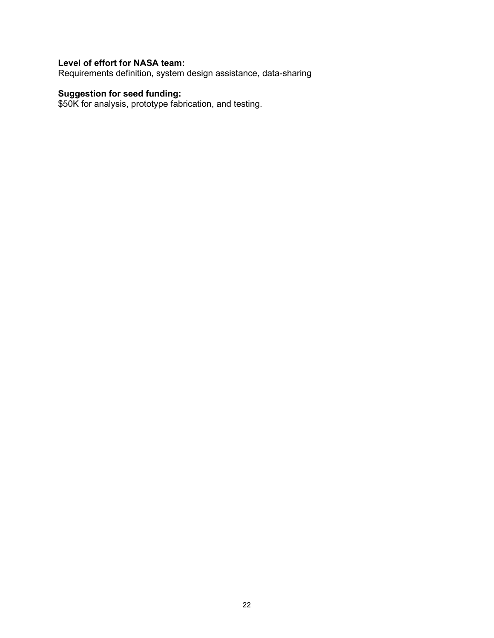#### **Level of effort for NASA team:**

Requirements definition, system design assistance, data-sharing

#### **Suggestion for seed funding:**

\$50K for analysis, prototype fabrication, and testing.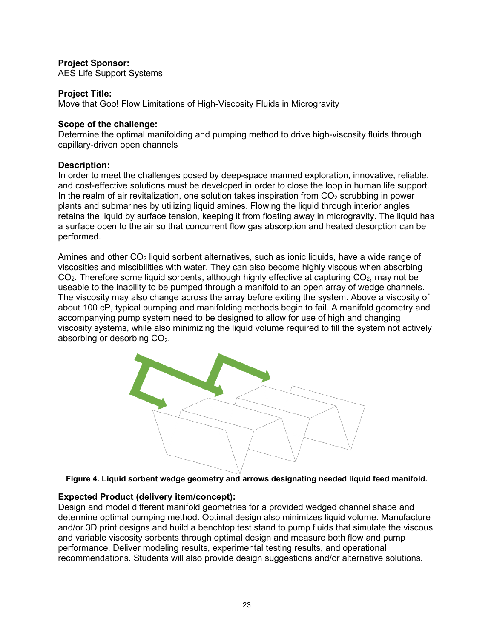#### **Project Sponsor:**

AES Life Support Systems

#### **Project Title:**

Move that Goo! Flow Limitations of High-Viscosity Fluids in Microgravity

#### **Scope of the challenge:**

Determine the optimal manifolding and pumping method to drive high-viscosity fluids through capillary-driven open channels

#### **Description:**

In order to meet the challenges posed by deep-space manned exploration, innovative, reliable, and cost-effective solutions must be developed in order to close the loop in human life support. In the realm of air revitalization, one solution takes inspiration from  $CO<sub>2</sub>$  scrubbing in power plants and submarines by utilizing liquid amines. Flowing the liquid through interior angles retains the liquid by surface tension, keeping it from floating away in microgravity. The liquid has a surface open to the air so that concurrent flow gas absorption and heated desorption can be performed.

Amines and other  $CO<sub>2</sub>$  liquid sorbent alternatives, such as ionic liquids, have a wide range of viscosities and miscibilities with water. They can also become highly viscous when absorbing  $CO<sub>2</sub>$ . Therefore some liquid sorbents, although highly effective at capturing  $CO<sub>2</sub>$ , may not be useable to the inability to be pumped through a manifold to an open array of wedge channels. The viscosity may also change across the array before exiting the system. Above a viscosity of about 100 cP, typical pumping and manifolding methods begin to fail. A manifold geometry and accompanying pump system need to be designed to allow for use of high and changing viscosity systems, while also minimizing the liquid volume required to fill the system not actively absorbing or desorbing CO<sub>2</sub>.

![](_page_22_Picture_9.jpeg)

**Figure 4. Liquid sorbent wedge geometry and arrows designating needed liquid feed manifold.** 

#### **Expected Product (delivery item/concept):**

Design and model different manifold geometries for a provided wedged channel shape and determine optimal pumping method. Optimal design also minimizes liquid volume. Manufacture and/or 3D print designs and build a benchtop test stand to pump fluids that simulate the viscous and variable viscosity sorbents through optimal design and measure both flow and pump performance. Deliver modeling results, experimental testing results, and operational recommendations. Students will also provide design suggestions and/or alternative solutions.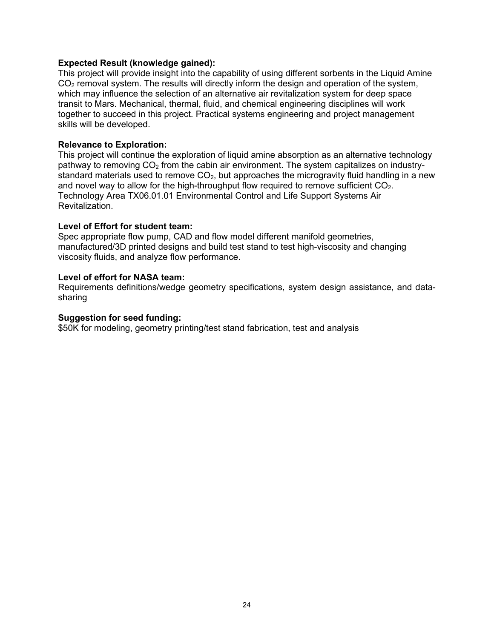#### **Expected Result (knowledge gained):**

This project will provide insight into the capability of using different sorbents in the Liquid Amine CO<sub>2</sub> removal system. The results will directly inform the design and operation of the system, which may influence the selection of an alternative air revitalization system for deep space transit to Mars. Mechanical, thermal, fluid, and chemical engineering disciplines will work together to succeed in this project. Practical systems engineering and project management skills will be developed.

#### **Relevance to Exploration:**

This project will continue the exploration of liquid amine absorption as an alternative technology pathway to removing  $CO<sub>2</sub>$  from the cabin air environment. The system capitalizes on industrystandard materials used to remove  $CO<sub>2</sub>$ , but approaches the microgravity fluid handling in a new and novel way to allow for the high-throughput flow required to remove sufficient  $CO<sub>2</sub>$ . Technology Area TX06.01.01 Environmental Control and Life Support Systems Air Revitalization.

#### **Level of Effort for student team:**

Spec appropriate flow pump, CAD and flow model different manifold geometries, manufactured/3D printed designs and build test stand to test high-viscosity and changing viscosity fluids, and analyze flow performance.

#### **Level of effort for NASA team:**

Requirements definitions/wedge geometry specifications, system design assistance, and datasharing

#### **Suggestion for seed funding:**

\$50K for modeling, geometry printing/test stand fabrication, test and analysis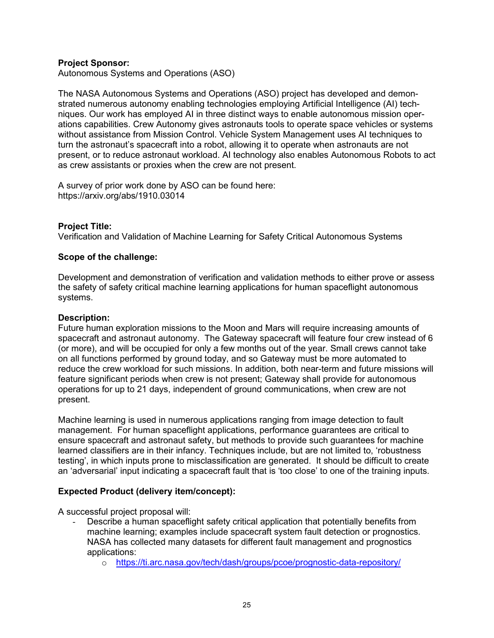#### **Project Sponsor:**

Autonomous Systems and Operations (ASO)

The NASA Autonomous Systems and Operations (ASO) project has developed and demonstrated numerous autonomy enabling technologies employing Artificial Intelligence (AI) techniques. Our work has employed AI in three distinct ways to enable autonomous mission operations capabilities. Crew Autonomy gives astronauts tools to operate space vehicles or systems without assistance from Mission Control. Vehicle System Management uses AI techniques to turn the astronaut's spacecraft into a robot, allowing it to operate when astronauts are not present, or to reduce astronaut workload. AI technology also enables Autonomous Robots to act as crew assistants or proxies when the crew are not present.

A survey of prior work done by ASO can be found here: https://arxiv.org/abs/1910.03014

#### **Project Title:**

Verification and Validation of Machine Learning for Safety Critical Autonomous Systems

#### **Scope of the challenge:**

Development and demonstration of verification and validation methods to either prove or assess the safety of safety critical machine learning applications for human spaceflight autonomous systems.

#### **Description:**

Future human exploration missions to the Moon and Mars will require increasing amounts of spacecraft and astronaut autonomy. The Gateway spacecraft will feature four crew instead of 6 (or more), and will be occupied for only a few months out of the year. Small crews cannot take on all functions performed by ground today, and so Gateway must be more automated to reduce the crew workload for such missions. In addition, both near-term and future missions will feature significant periods when crew is not present; Gateway shall provide for autonomous operations for up to 21 days, independent of ground communications, when crew are not present.

Machine learning is used in numerous applications ranging from image detection to fault management. For human spaceflight applications, performance guarantees are critical to ensure spacecraft and astronaut safety, but methods to provide such guarantees for machine learned classifiers are in their infancy. Techniques include, but are not limited to, 'robustness testing', in which inputs prone to misclassification are generated. It should be difficult to create an 'adversarial' input indicating a spacecraft fault that is 'too close' to one of the training inputs.

#### **Expected Product (delivery item/concept):**

A successful project proposal will:

- Describe a human spaceflight safety critical application that potentially benefits from machine learning; examples include spacecraft system fault detection or prognostics. NASA has collected many datasets for different fault management and prognostics applications:
	- o https://ti.arc.nasa.gov/tech/dash/groups/pcoe/prognostic-data-repository/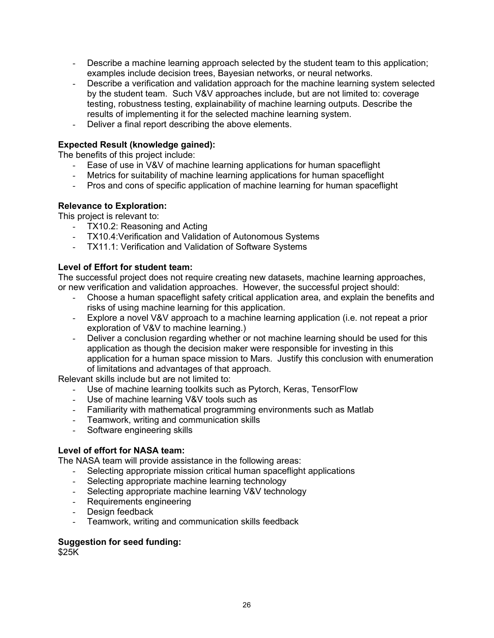- Describe a machine learning approach selected by the student team to this application; examples include decision trees, Bayesian networks, or neural networks.
- Describe a verification and validation approach for the machine learning system selected by the student team. Such V&V approaches include, but are not limited to: coverage testing, robustness testing, explainability of machine learning outputs. Describe the results of implementing it for the selected machine learning system.
- Deliver a final report describing the above elements.

#### **Expected Result (knowledge gained):**

The benefits of this project include:

- Ease of use in V&V of machine learning applications for human spaceflight
- Metrics for suitability of machine learning applications for human spaceflight
- Pros and cons of specific application of machine learning for human spaceflight

#### **Relevance to Exploration:**

This project is relevant to:

- TX10.2: Reasoning and Acting
- TX10.4:Verification and Validation of Autonomous Systems
- TX11.1: Verification and Validation of Software Systems

#### **Level of Effort for student team:**

The successful project does not require creating new datasets, machine learning approaches, or new verification and validation approaches. However, the successful project should:

- Choose a human spaceflight safety critical application area, and explain the benefits and risks of using machine learning for this application.
- Explore a novel V&V approach to a machine learning application (i.e. not repeat a prior exploration of V&V to machine learning.)
- Deliver a conclusion regarding whether or not machine learning should be used for this application as though the decision maker were responsible for investing in this application for a human space mission to Mars. Justify this conclusion with enumeration of limitations and advantages of that approach.

Relevant skills include but are not limited to:

- Use of machine learning toolkits such as Pytorch, Keras, TensorFlow
- Use of machine learning V&V tools such as
- Familiarity with mathematical programming environments such as Matlab
- Teamwork, writing and communication skills
- Software engineering skills

#### **Level of effort for NASA team:**

The NASA team will provide assistance in the following areas:

- Selecting appropriate mission critical human spaceflight applications
- Selecting appropriate machine learning technology
- Selecting appropriate machine learning V&V technology
- Requirements engineering
- Design feedback
- Teamwork, writing and communication skills feedback

#### **Suggestion for seed funding:**

\$25K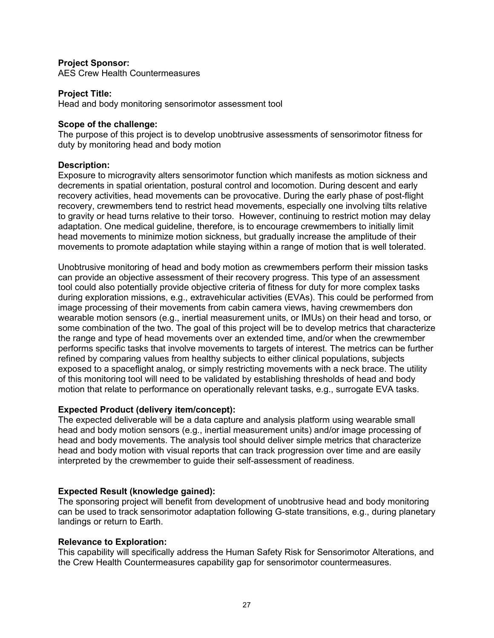#### **Project Sponsor:**

AES Crew Health Countermeasures

#### **Project Title:**

Head and body monitoring sensorimotor assessment tool

#### **Scope of the challenge:**

The purpose of this project is to develop unobtrusive assessments of sensorimotor fitness for duty by monitoring head and body motion

#### **Description:**

Exposure to microgravity alters sensorimotor function which manifests as motion sickness and decrements in spatial orientation, postural control and locomotion. During descent and early recovery activities, head movements can be provocative. During the early phase of post-flight recovery, crewmembers tend to restrict head movements, especially one involving tilts relative to gravity or head turns relative to their torso. However, continuing to restrict motion may delay adaptation. One medical guideline, therefore, is to encourage crewmembers to initially limit head movements to minimize motion sickness, but gradually increase the amplitude of their movements to promote adaptation while staying within a range of motion that is well tolerated.

Unobtrusive monitoring of head and body motion as crewmembers perform their mission tasks can provide an objective assessment of their recovery progress. This type of an assessment tool could also potentially provide objective criteria of fitness for duty for more complex tasks during exploration missions, e.g., extravehicular activities (EVAs). This could be performed from image processing of their movements from cabin camera views, having crewmembers don wearable motion sensors (e.g., inertial measurement units, or IMUs) on their head and torso, or some combination of the two. The goal of this project will be to develop metrics that characterize the range and type of head movements over an extended time, and/or when the crewmember performs specific tasks that involve movements to targets of interest. The metrics can be further refined by comparing values from healthy subjects to either clinical populations, subjects exposed to a spaceflight analog, or simply restricting movements with a neck brace. The utility of this monitoring tool will need to be validated by establishing thresholds of head and body motion that relate to performance on operationally relevant tasks, e.g., surrogate EVA tasks.

#### **Expected Product (delivery item/concept):**

The expected deliverable will be a data capture and analysis platform using wearable small head and body motion sensors (e.g., inertial measurement units) and/or image processing of head and body movements. The analysis tool should deliver simple metrics that characterize head and body motion with visual reports that can track progression over time and are easily interpreted by the crewmember to guide their self-assessment of readiness.

#### **Expected Result (knowledge gained):**

The sponsoring project will benefit from development of unobtrusive head and body monitoring can be used to track sensorimotor adaptation following G-state transitions, e.g., during planetary landings or return to Earth.

#### **Relevance to Exploration:**

This capability will specifically address the Human Safety Risk for Sensorimotor Alterations, and the Crew Health Countermeasures capability gap for sensorimotor countermeasures.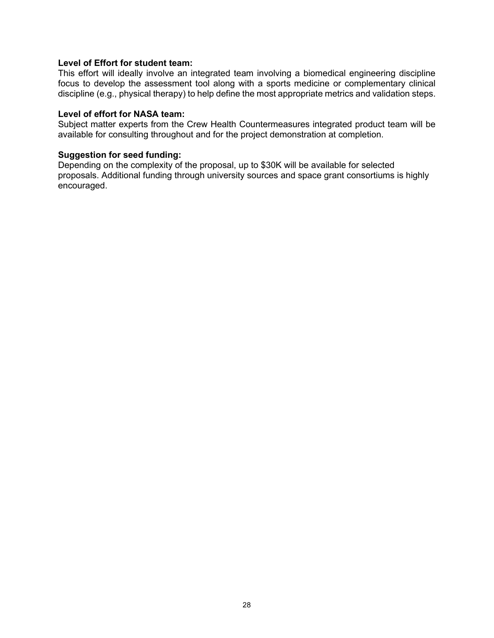#### **Level of Effort for student team:**

This effort will ideally involve an integrated team involving a biomedical engineering discipline focus to develop the assessment tool along with a sports medicine or complementary clinical discipline (e.g., physical therapy) to help define the most appropriate metrics and validation steps.

#### **Level of effort for NASA team:**

Subject matter experts from the Crew Health Countermeasures integrated product team will be available for consulting throughout and for the project demonstration at completion.

#### **Suggestion for seed funding:**

Depending on the complexity of the proposal, up to \$30K will be available for selected proposals. Additional funding through university sources and space grant consortiums is highly encouraged.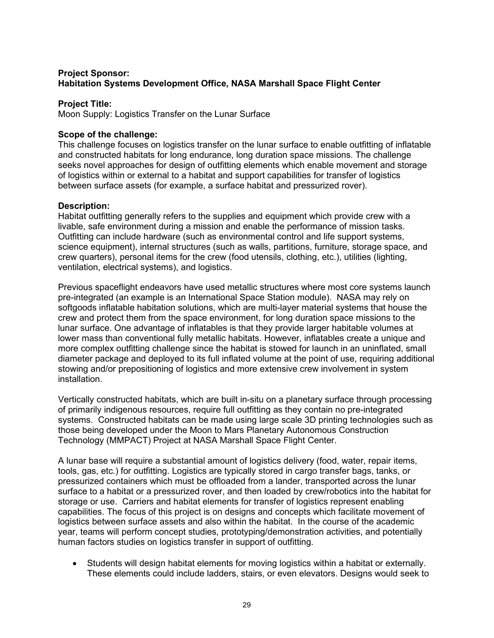#### **Project Sponsor: Habitation Systems Development Office, NASA Marshall Space Flight Center**

#### **Project Title:**

Moon Supply: Logistics Transfer on the Lunar Surface

#### **Scope of the challenge:**

This challenge focuses on logistics transfer on the lunar surface to enable outfitting of inflatable and constructed habitats for long endurance, long duration space missions. The challenge seeks novel approaches for design of outfitting elements which enable movement and storage of logistics within or external to a habitat and support capabilities for transfer of logistics between surface assets (for example, a surface habitat and pressurized rover).

#### **Description:**

Habitat outfitting generally refers to the supplies and equipment which provide crew with a livable, safe environment during a mission and enable the performance of mission tasks. Outfitting can include hardware (such as environmental control and life support systems, science equipment), internal structures (such as walls, partitions, furniture, storage space, and crew quarters), personal items for the crew (food utensils, clothing, etc.), utilities (lighting, ventilation, electrical systems), and logistics.

Previous spaceflight endeavors have used metallic structures where most core systems launch pre-integrated (an example is an International Space Station module). NASA may rely on softgoods inflatable habitation solutions, which are multi-layer material systems that house the crew and protect them from the space environment, for long duration space missions to the lunar surface. One advantage of inflatables is that they provide larger habitable volumes at lower mass than conventional fully metallic habitats. However, inflatables create a unique and more complex outfitting challenge since the habitat is stowed for launch in an uninflated, small diameter package and deployed to its full inflated volume at the point of use, requiring additional stowing and/or prepositioning of logistics and more extensive crew involvement in system installation.

Vertically constructed habitats, which are built in-situ on a planetary surface through processing of primarily indigenous resources, require full outfitting as they contain no pre-integrated systems. Constructed habitats can be made using large scale 3D printing technologies such as those being developed under the Moon to Mars Planetary Autonomous Construction Technology (MMPACT) Project at NASA Marshall Space Flight Center.

A lunar base will require a substantial amount of logistics delivery (food, water, repair items, tools, gas, etc.) for outfitting. Logistics are typically stored in cargo transfer bags, tanks, or pressurized containers which must be offloaded from a lander, transported across the lunar surface to a habitat or a pressurized rover, and then loaded by crew/robotics into the habitat for storage or use. Carriers and habitat elements for transfer of logistics represent enabling capabilities. The focus of this project is on designs and concepts which facilitate movement of logistics between surface assets and also within the habitat. In the course of the academic year, teams will perform concept studies, prototyping/demonstration activities, and potentially human factors studies on logistics transfer in support of outfitting.

 Students will design habitat elements for moving logistics within a habitat or externally. These elements could include ladders, stairs, or even elevators. Designs would seek to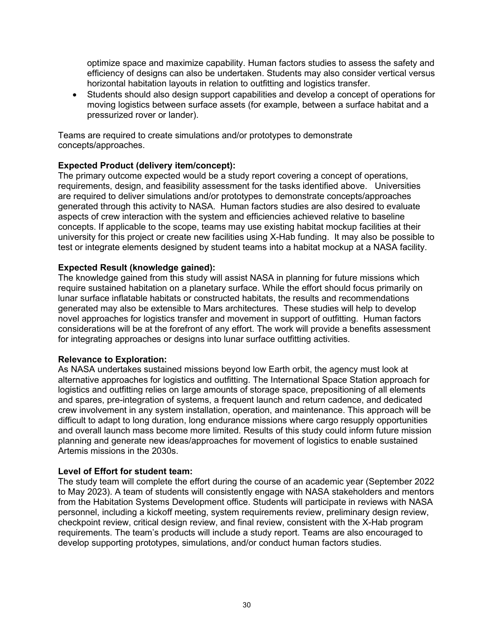optimize space and maximize capability. Human factors studies to assess the safety and efficiency of designs can also be undertaken. Students may also consider vertical versus horizontal habitation layouts in relation to outfitting and logistics transfer.

 Students should also design support capabilities and develop a concept of operations for moving logistics between surface assets (for example, between a surface habitat and a pressurized rover or lander).

Teams are required to create simulations and/or prototypes to demonstrate concepts/approaches.

#### **Expected Product (delivery item/concept):**

The primary outcome expected would be a study report covering a concept of operations, requirements, design, and feasibility assessment for the tasks identified above. Universities are required to deliver simulations and/or prototypes to demonstrate concepts/approaches generated through this activity to NASA. Human factors studies are also desired to evaluate aspects of crew interaction with the system and efficiencies achieved relative to baseline concepts. If applicable to the scope, teams may use existing habitat mockup facilities at their university for this project or create new facilities using X-Hab funding. It may also be possible to test or integrate elements designed by student teams into a habitat mockup at a NASA facility.

#### **Expected Result (knowledge gained):**

The knowledge gained from this study will assist NASA in planning for future missions which require sustained habitation on a planetary surface. While the effort should focus primarily on lunar surface inflatable habitats or constructed habitats, the results and recommendations generated may also be extensible to Mars architectures. These studies will help to develop novel approaches for logistics transfer and movement in support of outfitting. Human factors considerations will be at the forefront of any effort. The work will provide a benefits assessment for integrating approaches or designs into lunar surface outfitting activities.

#### **Relevance to Exploration:**

As NASA undertakes sustained missions beyond low Earth orbit, the agency must look at alternative approaches for logistics and outfitting. The International Space Station approach for logistics and outfitting relies on large amounts of storage space, prepositioning of all elements and spares, pre-integration of systems, a frequent launch and return cadence, and dedicated crew involvement in any system installation, operation, and maintenance. This approach will be difficult to adapt to long duration, long endurance missions where cargo resupply opportunities and overall launch mass become more limited. Results of this study could inform future mission planning and generate new ideas/approaches for movement of logistics to enable sustained Artemis missions in the 2030s.

#### **Level of Effort for student team:**

The study team will complete the effort during the course of an academic year (September 2022 to May 2023). A team of students will consistently engage with NASA stakeholders and mentors from the Habitation Systems Development office. Students will participate in reviews with NASA personnel, including a kickoff meeting, system requirements review, preliminary design review, checkpoint review, critical design review, and final review, consistent with the X-Hab program requirements. The team's products will include a study report. Teams are also encouraged to develop supporting prototypes, simulations, and/or conduct human factors studies.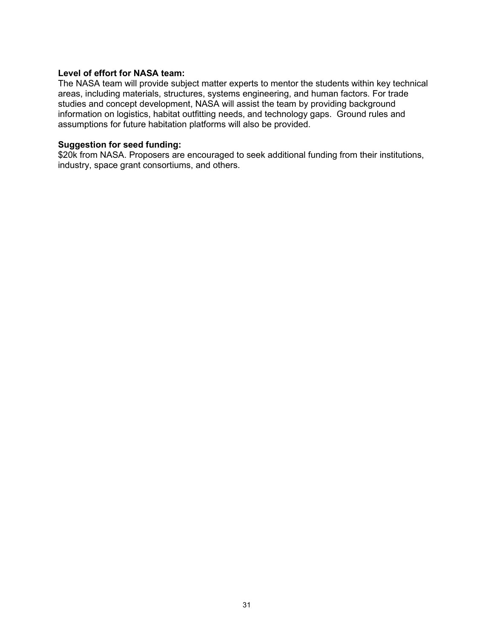#### **Level of effort for NASA team:**

The NASA team will provide subject matter experts to mentor the students within key technical areas, including materials, structures, systems engineering, and human factors. For trade studies and concept development, NASA will assist the team by providing background information on logistics, habitat outfitting needs, and technology gaps. Ground rules and assumptions for future habitation platforms will also be provided.

#### **Suggestion for seed funding:**

\$20k from NASA. Proposers are encouraged to seek additional funding from their institutions, industry, space grant consortiums, and others.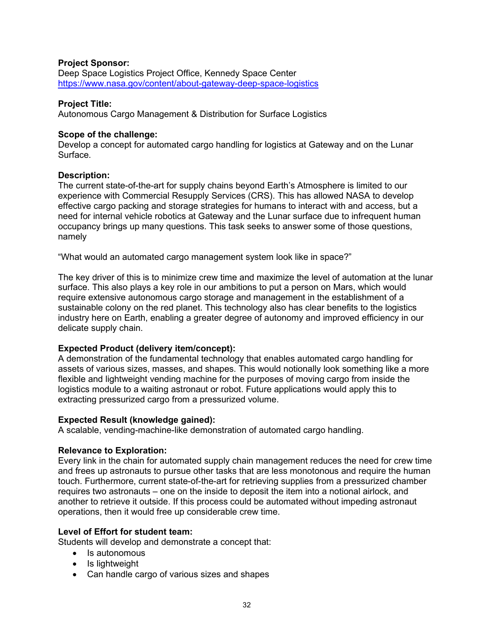#### **Project Sponsor:**

Deep Space Logistics Project Office, Kennedy Space Center https://www.nasa.gov/content/about-gateway-deep-space-logistics

#### **Project Title:**

Autonomous Cargo Management & Distribution for Surface Logistics

#### **Scope of the challenge:**

Develop a concept for automated cargo handling for logistics at Gateway and on the Lunar Surface.

#### **Description:**

The current state-of-the-art for supply chains beyond Earth's Atmosphere is limited to our experience with Commercial Resupply Services (CRS). This has allowed NASA to develop effective cargo packing and storage strategies for humans to interact with and access, but a need for internal vehicle robotics at Gateway and the Lunar surface due to infrequent human occupancy brings up many questions. This task seeks to answer some of those questions, namely

"What would an automated cargo management system look like in space?"

The key driver of this is to minimize crew time and maximize the level of automation at the lunar surface. This also plays a key role in our ambitions to put a person on Mars, which would require extensive autonomous cargo storage and management in the establishment of a sustainable colony on the red planet. This technology also has clear benefits to the logistics industry here on Earth, enabling a greater degree of autonomy and improved efficiency in our delicate supply chain.

#### **Expected Product (delivery item/concept):**

A demonstration of the fundamental technology that enables automated cargo handling for assets of various sizes, masses, and shapes. This would notionally look something like a more flexible and lightweight vending machine for the purposes of moving cargo from inside the logistics module to a waiting astronaut or robot. Future applications would apply this to extracting pressurized cargo from a pressurized volume.

#### **Expected Result (knowledge gained):**

A scalable, vending-machine-like demonstration of automated cargo handling.

#### **Relevance to Exploration:**

Every link in the chain for automated supply chain management reduces the need for crew time and frees up astronauts to pursue other tasks that are less monotonous and require the human touch. Furthermore, current state-of-the-art for retrieving supplies from a pressurized chamber requires two astronauts – one on the inside to deposit the item into a notional airlock, and another to retrieve it outside. If this process could be automated without impeding astronaut operations, then it would free up considerable crew time.

#### **Level of Effort for student team:**

Students will develop and demonstrate a concept that:

- Is autonomous
- $\bullet$  Is lightweight
- Can handle cargo of various sizes and shapes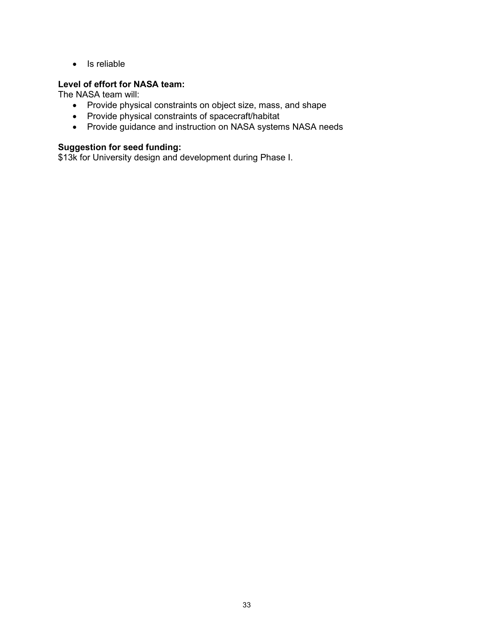• Is reliable

#### **Level of effort for NASA team:**

The NASA team will:

- Provide physical constraints on object size, mass, and shape
- Provide physical constraints of spacecraft/habitat
- Provide guidance and instruction on NASA systems NASA needs

#### **Suggestion for seed funding:**

\$13k for University design and development during Phase I.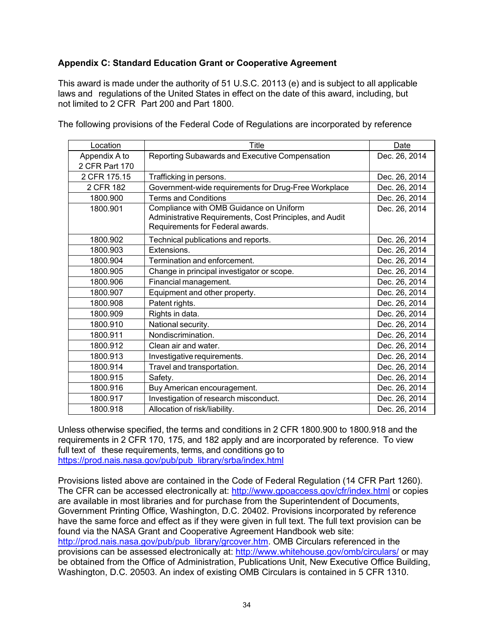#### **Appendix C: Standard Education Grant or Cooperative Agreement**

This award is made under the authority of 51 U.S.C. 20113 (e) and is subject to all applicable laws and regulations of the United States in effect on the date of this award, including, but not limited to 2 CFR Part 200 and Part 1800.

The following provisions of the Federal Code of Regulations are incorporated by reference

| Location       | Title                                                   | Date          |
|----------------|---------------------------------------------------------|---------------|
| Appendix A to  | Reporting Subawards and Executive Compensation          | Dec. 26, 2014 |
| 2 CFR Part 170 |                                                         |               |
| 2 CFR 175.15   | Trafficking in persons.                                 | Dec. 26, 2014 |
| 2 CFR 182      | Government-wide requirements for Drug-Free Workplace    | Dec. 26, 2014 |
| 1800.900       | <b>Terms and Conditions</b>                             | Dec. 26, 2014 |
| 1800.901       | Compliance with OMB Guidance on Uniform                 | Dec. 26, 2014 |
|                | Administrative Requirements, Cost Principles, and Audit |               |
|                | Requirements for Federal awards.                        |               |
| 1800.902       | Technical publications and reports.                     | Dec. 26, 2014 |
| 1800.903       | Extensions.                                             | Dec. 26, 2014 |
| 1800.904       | Termination and enforcement.                            | Dec. 26, 2014 |
| 1800.905       | Change in principal investigator or scope.              | Dec. 26, 2014 |
| 1800.906       | Financial management.                                   | Dec. 26, 2014 |
| 1800.907       | Equipment and other property.                           | Dec. 26, 2014 |
| 1800.908       | Patent rights.                                          | Dec. 26, 2014 |
| 1800.909       | Rights in data.                                         | Dec. 26, 2014 |
| 1800.910       | National security.                                      | Dec. 26, 2014 |
| 1800.911       | Nondiscrimination.                                      | Dec. 26, 2014 |
| 1800.912       | Clean air and water.                                    | Dec. 26, 2014 |
| 1800.913       | Investigative requirements.                             | Dec. 26, 2014 |
| 1800.914       | Travel and transportation.                              | Dec. 26, 2014 |
| 1800.915       | Safety.                                                 | Dec. 26, 2014 |
| 1800.916       | Buy American encouragement.                             | Dec. 26, 2014 |
| 1800.917       | Investigation of research misconduct.                   | Dec. 26, 2014 |
| 1800.918       | Allocation of risk/liability.                           | Dec. 26, 2014 |

Unless otherwise specified, the terms and conditions in 2 CFR 1800.900 to 1800.918 and the requirements in 2 CFR 170, 175, and 182 apply and are incorporated by reference. To view full text of these requirements, terms, and conditions go to https://prod.nais.nasa.gov/pub/pub\_library/srba/index.html

Provisions listed above are contained in the Code of Federal Regulation (14 CFR Part 1260). The CFR can be accessed electronically at: http://www.gpoaccess.gov/cfr/index.html or copies are available in most libraries and for purchase from the Superintendent of Documents, Government Printing Office, Washington, D.C. 20402. Provisions incorporated by reference have the same force and effect as if they were given in full text. The full text provision can be found via the NASA Grant and Cooperative Agreement Handbook web site: http://prod.nais.nasa.gov/pub/pub\_library/grcover.htm. OMB Circulars referenced in the provisions can be assessed electronically at: http://www.whitehouse.gov/omb/circulars/ or may be obtained from the Office of Administration, Publications Unit, New Executive Office Building, Washington, D.C. 20503. An index of existing OMB Circulars is contained in 5 CFR 1310.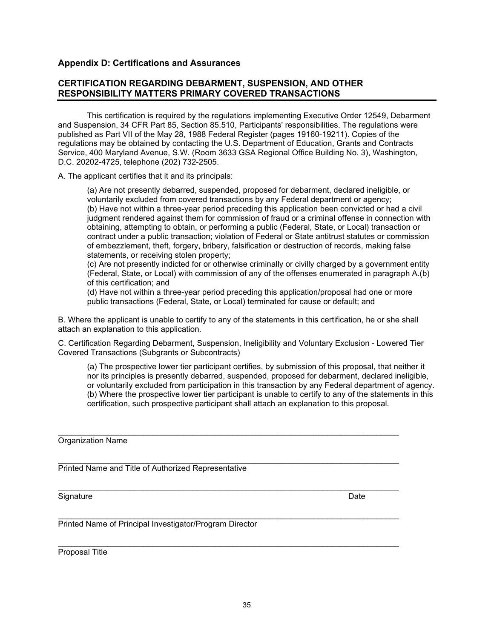\_\_\_\_\_\_\_\_\_\_\_\_\_\_\_\_\_\_\_\_\_\_\_\_\_\_\_\_\_\_\_\_\_\_\_\_\_\_\_\_\_\_\_\_\_\_\_\_\_\_\_\_\_\_\_\_\_\_\_\_\_\_\_\_\_\_\_\_\_\_\_\_\_\_\_\_

\_\_\_\_\_\_\_\_\_\_\_\_\_\_\_\_\_\_\_\_\_\_\_\_\_\_\_\_\_\_\_\_\_\_\_\_\_\_\_\_\_\_\_\_\_\_\_\_\_\_\_\_\_\_\_\_\_\_\_\_\_\_\_\_\_\_\_\_\_\_\_\_\_\_\_\_

#### 35

#### **Appendix D: Certifications and Assurances**

#### **CERTIFICATION REGARDING DEBARMENT, SUSPENSION, AND OTHER RESPONSIBILITY MATTERS PRIMARY COVERED TRANSACTIONS**

This certification is required by the regulations implementing Executive Order 12549, Debarment and Suspension, 34 CFR Part 85, Section 85.510, Participants' responsibilities. The regulations were published as Part VII of the May 28, 1988 Federal Register (pages 19160-19211). Copies of the regulations may be obtained by contacting the U.S. Department of Education, Grants and Contracts Service, 400 Maryland Avenue, S.W. (Room 3633 GSA Regional Office Building No. 3), Washington, D.C. 20202-4725, telephone (202) 732-2505.

A. The applicant certifies that it and its principals:

(a) Are not presently debarred, suspended, proposed for debarment, declared ineligible, or voluntarily excluded from covered transactions by any Federal department or agency; (b) Have not within a three-year period preceding this application been convicted or had a civil judgment rendered against them for commission of fraud or a criminal offense in connection with obtaining, attempting to obtain, or performing a public (Federal, State, or Local) transaction or contract under a public transaction; violation of Federal or State antitrust statutes or commission of embezzlement, theft, forgery, bribery, falsification or destruction of records, making false statements, or receiving stolen property;

(c) Are not presently indicted for or otherwise criminally or civilly charged by a government entity (Federal, State, or Local) with commission of any of the offenses enumerated in paragraph A.(b) of this certification; and

(d) Have not within a three-year period preceding this application/proposal had one or more public transactions (Federal, State, or Local) terminated for cause or default; and

B. Where the applicant is unable to certify to any of the statements in this certification, he or she shall attach an explanation to this application.

C. Certification Regarding Debarment, Suspension, Ineligibility and Voluntary Exclusion - Lowered Tier Covered Transactions (Subgrants or Subcontracts)

(a) The prospective lower tier participant certifies, by submission of this proposal, that neither it nor its principles is presently debarred, suspended, proposed for debarment, declared ineligible, or voluntarily excluded from participation in this transaction by any Federal department of agency. (b) Where the prospective lower tier participant is unable to certify to any of the statements in this certification, such prospective participant shall attach an explanation to this proposal.

\_\_\_\_\_\_\_\_\_\_\_\_\_\_\_\_\_\_\_\_\_\_\_\_\_\_\_\_\_\_\_\_\_\_\_\_\_\_\_\_\_\_\_\_\_\_\_\_\_\_\_\_\_\_\_\_\_\_\_\_\_\_\_\_\_\_\_\_\_\_\_\_\_\_\_\_ Organization Name

\_\_\_\_\_\_\_\_\_\_\_\_\_\_\_\_\_\_\_\_\_\_\_\_\_\_\_\_\_\_\_\_\_\_\_\_\_\_\_\_\_\_\_\_\_\_\_\_\_\_\_\_\_\_\_\_\_\_\_\_\_\_\_\_\_\_\_\_\_\_\_\_\_\_\_\_ Printed Name and Title of Authorized Representative

Signature Date

\_\_\_\_\_\_\_\_\_\_\_\_\_\_\_\_\_\_\_\_\_\_\_\_\_\_\_\_\_\_\_\_\_\_\_\_\_\_\_\_\_\_\_\_\_\_\_\_\_\_\_\_\_\_\_\_\_\_\_\_\_\_\_\_\_\_\_\_\_\_\_\_\_\_\_\_ Printed Name of Principal Investigator/Program Director

Proposal Title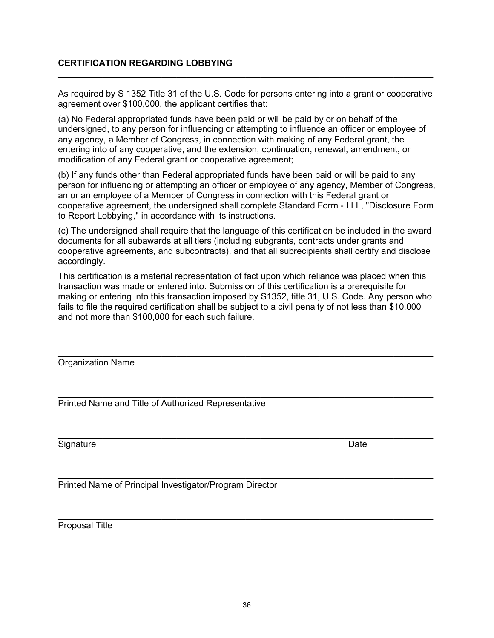#### **CERTIFICATION REGARDING LOBBYING**

As required by S 1352 Title 31 of the U.S. Code for persons entering into a grant or cooperative agreement over \$100,000, the applicant certifies that:

 $\_$  , and the contribution of the contribution of  $\mathcal{L}_\mathcal{A}$  , and the contribution of  $\mathcal{L}_\mathcal{A}$ 

(a) No Federal appropriated funds have been paid or will be paid by or on behalf of the undersigned, to any person for influencing or attempting to influence an officer or employee of any agency, a Member of Congress, in connection with making of any Federal grant, the entering into of any cooperative, and the extension, continuation, renewal, amendment, or modification of any Federal grant or cooperative agreement;

(b) If any funds other than Federal appropriated funds have been paid or will be paid to any person for influencing or attempting an officer or employee of any agency, Member of Congress, an or an employee of a Member of Congress in connection with this Federal grant or cooperative agreement, the undersigned shall complete Standard Form - LLL, "Disclosure Form to Report Lobbying," in accordance with its instructions.

(c) The undersigned shall require that the language of this certification be included in the award documents for all subawards at all tiers (including subgrants, contracts under grants and cooperative agreements, and subcontracts), and that all subrecipients shall certify and disclose accordingly.

This certification is a material representation of fact upon which reliance was placed when this transaction was made or entered into. Submission of this certification is a prerequisite for making or entering into this transaction imposed by S1352, title 31, U.S. Code. Any person who fails to file the required certification shall be subject to a civil penalty of not less than \$10,000 and not more than \$100,000 for each such failure.

 $\_$  , and the contribution of the contribution of the contribution of the contribution of  $\mathcal{L}_\mathbf{z}$ 

 $\_$  , and the contribution of the contribution of  $\mathcal{L}_\mathcal{A}$  , and the contribution of  $\mathcal{L}_\mathcal{A}$ 

 $\_$  , and the contribution of the contribution of the contribution of the contribution of  $\mathcal{L}_\mathbf{z}$ 

 $\_$ Organization Name

Printed Name and Title of Authorized Representative

 $\_$  , and the contribution of the contribution of the contribution of the contribution of  $\mathcal{L}_\mathbf{z}$ Signature Date Date of the Date of the Date of the Date of the Date of the Date of the Date of the Date of the Date of the Date of the Date of the Date of the Date of the Date of the Date of the Date of the Date of the Dat

Printed Name of Principal Investigator/Program Director

Proposal Title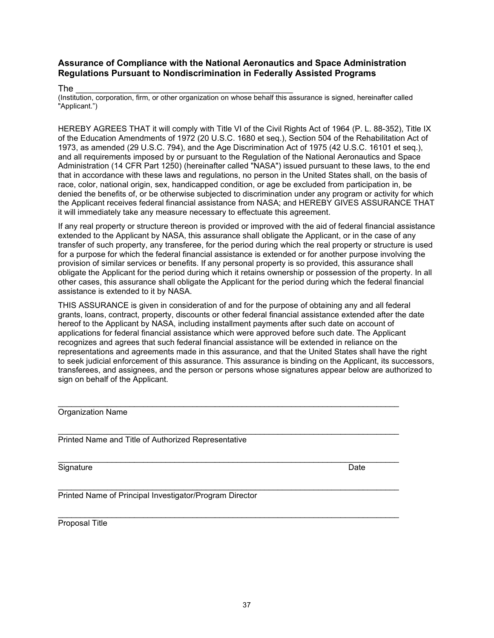#### **Assurance of Compliance with the National Aeronautics and Space Administration Regulations Pursuant to Nondiscrimination in Federally Assisted Programs**

#### The \_\_\_\_\_\_\_\_\_\_\_\_\_\_\_\_\_\_\_\_\_\_\_\_\_\_\_\_\_\_\_\_\_\_\_\_\_\_\_\_\_\_\_\_

(Institution, corporation, firm, or other organization on whose behalf this assurance is signed, hereinafter called "Applicant.")

HEREBY AGREES THAT it will comply with Title VI of the Civil Rights Act of 1964 (P. L. 88-352), Title IX of the Education Amendments of 1972 (20 U.S.C. 1680 et seq.), Section 504 of the Rehabilitation Act of 1973, as amended (29 U.S.C. 794), and the Age Discrimination Act of 1975 (42 U.S.C. 16101 et seq.), and all requirements imposed by or pursuant to the Regulation of the National Aeronautics and Space Administration (14 CFR Part 1250) (hereinafter called "NASA") issued pursuant to these laws, to the end that in accordance with these laws and regulations, no person in the United States shall, on the basis of race, color, national origin, sex, handicapped condition, or age be excluded from participation in, be denied the benefits of, or be otherwise subjected to discrimination under any program or activity for which the Applicant receives federal financial assistance from NASA; and HEREBY GIVES ASSURANCE THAT it will immediately take any measure necessary to effectuate this agreement.

If any real property or structure thereon is provided or improved with the aid of federal financial assistance extended to the Applicant by NASA, this assurance shall obligate the Applicant, or in the case of any transfer of such property, any transferee, for the period during which the real property or structure is used for a purpose for which the federal financial assistance is extended or for another purpose involving the provision of similar services or benefits. If any personal property is so provided, this assurance shall obligate the Applicant for the period during which it retains ownership or possession of the property. In all other cases, this assurance shall obligate the Applicant for the period during which the federal financial assistance is extended to it by NASA.

THIS ASSURANCE is given in consideration of and for the purpose of obtaining any and all federal grants, loans, contract, property, discounts or other federal financial assistance extended after the date hereof to the Applicant by NASA, including installment payments after such date on account of applications for federal financial assistance which were approved before such date. The Applicant recognizes and agrees that such federal financial assistance will be extended in reliance on the representations and agreements made in this assurance, and that the United States shall have the right to seek judicial enforcement of this assurance. This assurance is binding on the Applicant, its successors, transferees, and assignees, and the person or persons whose signatures appear below are authorized to sign on behalf of the Applicant.

| Organization Name                                   |      |  |
|-----------------------------------------------------|------|--|
|                                                     |      |  |
|                                                     |      |  |
| Printed Name and Title of Authorized Representative |      |  |
|                                                     |      |  |
|                                                     |      |  |
| Signature                                           | Date |  |

\_\_\_\_\_\_\_\_\_\_\_\_\_\_\_\_\_\_\_\_\_\_\_\_\_\_\_\_\_\_\_\_\_\_\_\_\_\_\_\_\_\_\_\_\_\_\_\_\_\_\_\_\_\_\_\_\_\_\_\_\_\_\_\_\_\_\_\_\_\_\_\_\_\_\_\_

\_\_\_\_\_\_\_\_\_\_\_\_\_\_\_\_\_\_\_\_\_\_\_\_\_\_\_\_\_\_\_\_\_\_\_\_\_\_\_\_\_\_\_\_\_\_\_\_\_\_\_\_\_\_\_\_\_\_\_\_\_\_\_\_\_\_\_\_\_\_\_\_\_\_\_\_

Printed Name of Principal Investigator/Program Director

Proposal Title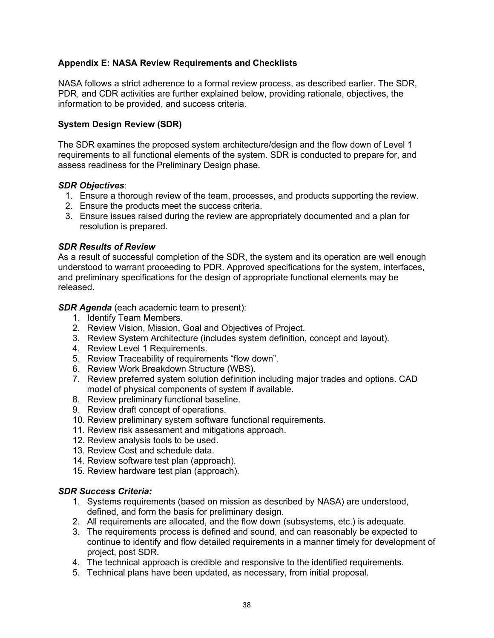#### **Appendix E: NASA Review Requirements and Checklists**

NASA follows a strict adherence to a formal review process, as described earlier. The SDR, PDR, and CDR activities are further explained below, providing rationale, objectives, the information to be provided, and success criteria.

#### **System Design Review (SDR)**

The SDR examines the proposed system architecture/design and the flow down of Level 1 requirements to all functional elements of the system. SDR is conducted to prepare for, and assess readiness for the Preliminary Design phase.

#### *SDR Objectives*:

- 1. Ensure a thorough review of the team, processes, and products supporting the review.
- 2. Ensure the products meet the success criteria.
- 3. Ensure issues raised during the review are appropriately documented and a plan for resolution is prepared.

#### *SDR Results of Review*

As a result of successful completion of the SDR, the system and its operation are well enough understood to warrant proceeding to PDR. Approved specifications for the system, interfaces, and preliminary specifications for the design of appropriate functional elements may be released.

*SDR Agenda* (each academic team to present):

- 1. Identify Team Members.
- 2. Review Vision, Mission, Goal and Objectives of Project.
- 3. Review System Architecture (includes system definition, concept and layout).
- 4. Review Level 1 Requirements.
- 5. Review Traceability of requirements "flow down".
- 6. Review Work Breakdown Structure (WBS).
- 7. Review preferred system solution definition including major trades and options. CAD model of physical components of system if available.
- 8. Review preliminary functional baseline.
- 9. Review draft concept of operations.
- 10. Review preliminary system software functional requirements.
- 11. Review risk assessment and mitigations approach.
- 12. Review analysis tools to be used.
- 13. Review Cost and schedule data.
- 14. Review software test plan (approach).
- 15. Review hardware test plan (approach).

#### *SDR Success Criteria:*

- 1. Systems requirements (based on mission as described by NASA) are understood, defined, and form the basis for preliminary design.
- 2. All requirements are allocated, and the flow down (subsystems, etc.) is adequate.
- 3. The requirements process is defined and sound, and can reasonably be expected to continue to identify and flow detailed requirements in a manner timely for development of project, post SDR.
- 4. The technical approach is credible and responsive to the identified requirements.
- 5. Technical plans have been updated, as necessary, from initial proposal.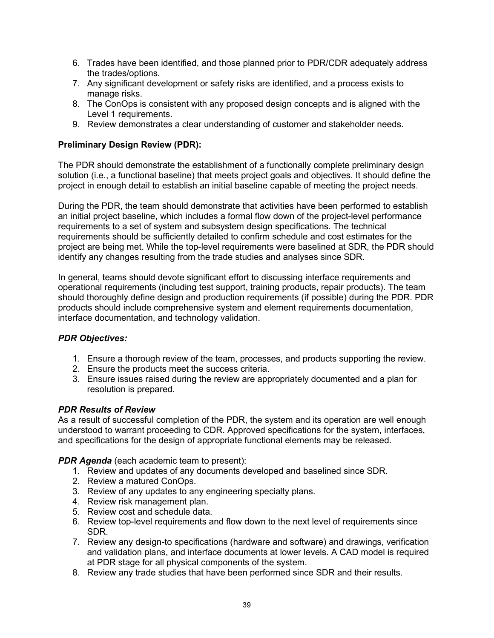- 6. Trades have been identified, and those planned prior to PDR/CDR adequately address the trades/options.
- 7. Any significant development or safety risks are identified, and a process exists to manage risks.
- 8. The ConOps is consistent with any proposed design concepts and is aligned with the Level 1 requirements.
- 9. Review demonstrates a clear understanding of customer and stakeholder needs.

#### **Preliminary Design Review (PDR):**

The PDR should demonstrate the establishment of a functionally complete preliminary design solution (i.e., a functional baseline) that meets project goals and objectives. It should define the project in enough detail to establish an initial baseline capable of meeting the project needs.

During the PDR, the team should demonstrate that activities have been performed to establish an initial project baseline, which includes a formal flow down of the project-level performance requirements to a set of system and subsystem design specifications. The technical requirements should be sufficiently detailed to confirm schedule and cost estimates for the project are being met. While the top-level requirements were baselined at SDR, the PDR should identify any changes resulting from the trade studies and analyses since SDR.

In general, teams should devote significant effort to discussing interface requirements and operational requirements (including test support, training products, repair products). The team should thoroughly define design and production requirements (if possible) during the PDR. PDR products should include comprehensive system and element requirements documentation, interface documentation, and technology validation.

#### *PDR Objectives:*

- 1. Ensure a thorough review of the team, processes, and products supporting the review.
- 2. Ensure the products meet the success criteria.
- 3. Ensure issues raised during the review are appropriately documented and a plan for resolution is prepared.

#### *PDR Results of Review*

As a result of successful completion of the PDR, the system and its operation are well enough understood to warrant proceeding to CDR. Approved specifications for the system, interfaces, and specifications for the design of appropriate functional elements may be released.

*PDR Agenda* (each academic team to present):

- 1. Review and updates of any documents developed and baselined since SDR.
- 2. Review a matured ConOps.
- 3. Review of any updates to any engineering specialty plans.
- 4. Review risk management plan.
- 5. Review cost and schedule data.
- 6. Review top-level requirements and flow down to the next level of requirements since SDR.
- 7. Review any design-to specifications (hardware and software) and drawings, verification and validation plans, and interface documents at lower levels. A CAD model is required at PDR stage for all physical components of the system.
- 8. Review any trade studies that have been performed since SDR and their results.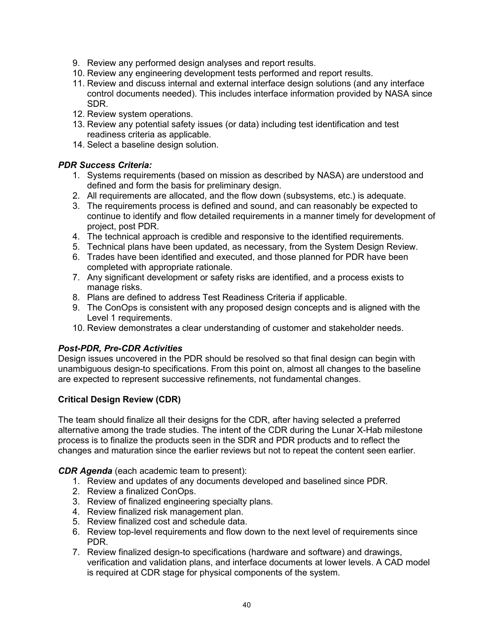- 9. Review any performed design analyses and report results.
- 10. Review any engineering development tests performed and report results.
- 11. Review and discuss internal and external interface design solutions (and any interface control documents needed). This includes interface information provided by NASA since SDR.
- 12. Review system operations.
- 13. Review any potential safety issues (or data) including test identification and test readiness criteria as applicable.
- 14. Select a baseline design solution.

#### *PDR Success Criteria:*

- 1. Systems requirements (based on mission as described by NASA) are understood and defined and form the basis for preliminary design.
- 2. All requirements are allocated, and the flow down (subsystems, etc.) is adequate.
- 3. The requirements process is defined and sound, and can reasonably be expected to continue to identify and flow detailed requirements in a manner timely for development of project, post PDR.
- 4. The technical approach is credible and responsive to the identified requirements.
- 5. Technical plans have been updated, as necessary, from the System Design Review.
- 6. Trades have been identified and executed, and those planned for PDR have been completed with appropriate rationale.
- 7. Any significant development or safety risks are identified, and a process exists to manage risks.
- 8. Plans are defined to address Test Readiness Criteria if applicable.
- 9. The ConOps is consistent with any proposed design concepts and is aligned with the Level 1 requirements.
- 10. Review demonstrates a clear understanding of customer and stakeholder needs.

#### *Post-PDR, Pre-CDR Activities*

Design issues uncovered in the PDR should be resolved so that final design can begin with unambiguous design-to specifications. From this point on, almost all changes to the baseline are expected to represent successive refinements, not fundamental changes.

#### **Critical Design Review (CDR)**

The team should finalize all their designs for the CDR, after having selected a preferred alternative among the trade studies. The intent of the CDR during the Lunar X-Hab milestone process is to finalize the products seen in the SDR and PDR products and to reflect the changes and maturation since the earlier reviews but not to repeat the content seen earlier.

*CDR Agenda* (each academic team to present):

- 1. Review and updates of any documents developed and baselined since PDR.
- 2. Review a finalized ConOps.
- 3. Review of finalized engineering specialty plans.
- 4. Review finalized risk management plan.
- 5. Review finalized cost and schedule data.
- 6. Review top-level requirements and flow down to the next level of requirements since PDR.
- 7. Review finalized design-to specifications (hardware and software) and drawings, verification and validation plans, and interface documents at lower levels. A CAD model is required at CDR stage for physical components of the system.